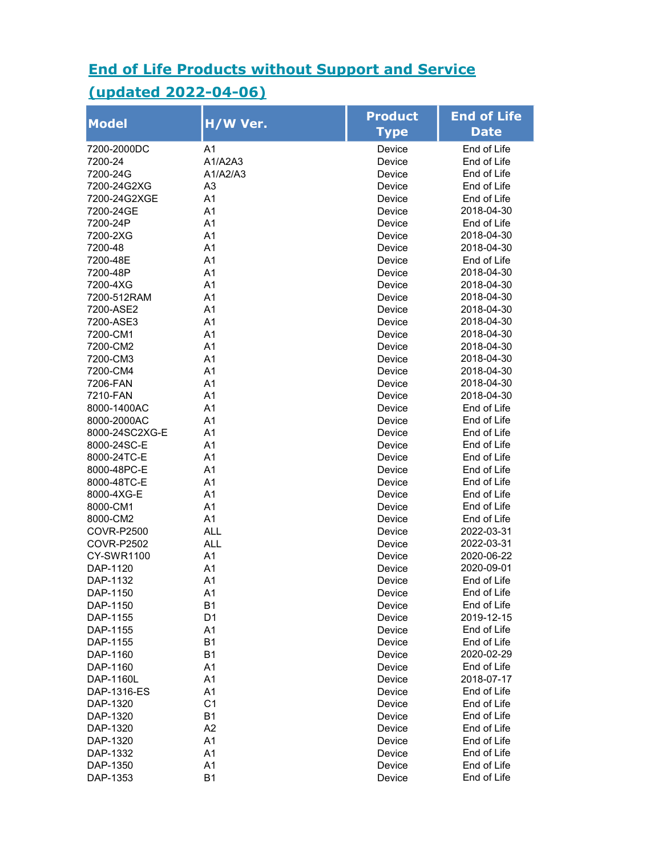## End of Life Products without Support and Service

## (updated 2022-04-06)

| <b>Model</b>      | H/W Ver.       | <b>Product</b><br>Type | <b>End of Life</b><br><b>Date</b> |
|-------------------|----------------|------------------------|-----------------------------------|
| 7200-2000DC       | A <sub>1</sub> | Device                 | End of Life                       |
| 7200-24           | A1/A2A3        | Device                 | End of Life                       |
| 7200-24G          | A1/A2/A3       | Device                 | End of Life                       |
| 7200-24G2XG       | A <sub>3</sub> | Device                 | End of Life                       |
| 7200-24G2XGE      | A <sub>1</sub> | Device                 | End of Life                       |
| 7200-24GE         | A1             | Device                 | 2018-04-30                        |
| 7200-24P          | A1             | Device                 | End of Life                       |
| 7200-2XG          | A1             | Device                 | 2018-04-30                        |
| 7200-48           | A1             | Device                 | 2018-04-30                        |
| 7200-48E          | A1             | Device                 | End of Life                       |
| 7200-48P          | A1             | Device                 | 2018-04-30                        |
| 7200-4XG          | A1             | Device                 | 2018-04-30                        |
| 7200-512RAM       | A <sub>1</sub> | Device                 | 2018-04-30                        |
| 7200-ASE2         | A <sub>1</sub> | Device                 | 2018-04-30                        |
| 7200-ASE3         | A1             | Device                 | 2018-04-30                        |
| 7200-CM1          | A1             | Device                 | 2018-04-30                        |
| 7200-CM2          | A1             | Device                 | 2018-04-30                        |
| 7200-CM3          | A1             | Device                 | 2018-04-30                        |
| 7200-CM4          | A1             | Device                 | 2018-04-30                        |
| 7206-FAN          | A1             | Device                 | 2018-04-30                        |
| 7210-FAN          | A1             | Device                 | 2018-04-30                        |
| 8000-1400AC       | A1             | Device                 | End of Life                       |
| 8000-2000AC       | A <sub>1</sub> | Device                 | End of Life                       |
| 8000-24SC2XG-E    | A <sub>1</sub> | Device                 | End of Life                       |
| 8000-24SC-E       | A1             | Device                 | End of Life                       |
| 8000-24TC-E       | A1             | Device                 | End of Life                       |
| 8000-48PC-E       | A1             | Device                 | End of Life                       |
| 8000-48TC-E       | A1             | Device                 | End of Life                       |
| 8000-4XG-E        | A1             | Device                 | End of Life                       |
| 8000-CM1          | A1             | Device                 | End of Life                       |
| 8000-CM2          | A1             | Device                 | End of Life                       |
| <b>COVR-P2500</b> | <b>ALL</b>     | Device                 | 2022-03-31                        |
| <b>COVR-P2502</b> | <b>ALL</b>     | Device                 | 2022-03-31                        |
| <b>CY-SWR1100</b> | A <sub>1</sub> | Device                 | 2020-06-22                        |
| DAP-1120          | A1             | Device                 | 2020-09-01                        |
| DAP-1132          | A <sub>1</sub> | Device                 | End of Life                       |
| DAP-1150          | A1             | Device                 | End of Life                       |
| DAP-1150          | <b>B1</b>      | Device                 | End of Life                       |
| DAP-1155          | D <sub>1</sub> | Device                 | 2019-12-15                        |
| DAP-1155          | A1             | Device                 | End of Life                       |
| DAP-1155          | <b>B1</b>      | Device                 | End of Life                       |
| DAP-1160          | <b>B1</b>      | Device                 | 2020-02-29                        |
| DAP-1160          | A1             | Device                 | End of Life                       |
| DAP-1160L         | A1             | Device                 | 2018-07-17                        |
| DAP-1316-ES       | A1             | Device                 | End of Life                       |
| DAP-1320          | C <sub>1</sub> | Device                 | End of Life                       |
| DAP-1320          | <b>B1</b>      | Device                 | End of Life                       |
| DAP-1320          | A2             | Device                 | End of Life                       |
| DAP-1320          | A1             | Device                 | End of Life                       |
| DAP-1332          | A1             | Device                 | End of Life                       |
| DAP-1350          | A1             | Device                 | End of Life                       |
| DAP-1353          | <b>B1</b>      | Device                 | End of Life                       |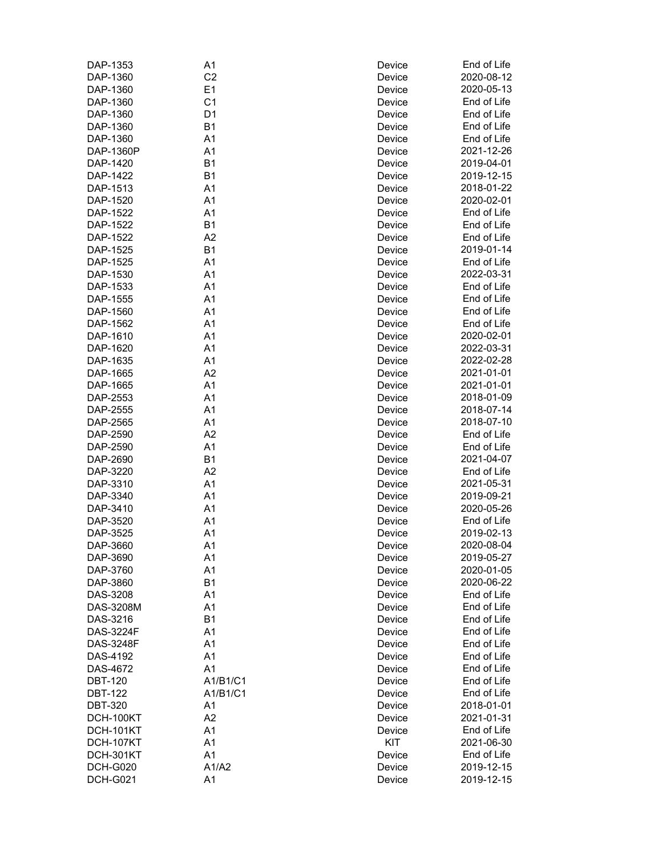| DAP-1353         | A1             | Device | End of Life |
|------------------|----------------|--------|-------------|
| DAP-1360         | C <sub>2</sub> | Device | 2020-08-12  |
| DAP-1360         | E1             | Device | 2020-05-13  |
| DAP-1360         | C <sub>1</sub> | Device | End of Life |
| DAP-1360         | D <sub>1</sub> | Device | End of Life |
| DAP-1360         | B <sub>1</sub> | Device | End of Life |
| DAP-1360         | A <sub>1</sub> | Device | End of Life |
| DAP-1360P        | A <sub>1</sub> | Device | 2021-12-26  |
| DAP-1420         | B <sub>1</sub> | Device | 2019-04-01  |
| DAP-1422         | <b>B1</b>      | Device | 2019-12-15  |
| DAP-1513         | A1             | Device | 2018-01-22  |
| DAP-1520         | A1             | Device | 2020-02-01  |
| DAP-1522         | A1             | Device | End of Life |
| DAP-1522         | B <sub>1</sub> | Device | End of Life |
| DAP-1522         | A2             | Device | End of Life |
| DAP-1525         | <b>B1</b>      | Device | 2019-01-14  |
| DAP-1525         | A <sub>1</sub> | Device | End of Life |
| DAP-1530         | A <sub>1</sub> | Device | 2022-03-31  |
| DAP-1533         | A1             | Device | End of Life |
|                  | A1             |        | End of Life |
| DAP-1555         |                | Device |             |
| DAP-1560         | A1             | Device | End of Life |
| DAP-1562         | A1             | Device | End of Life |
| DAP-1610         | A1             | Device | 2020-02-01  |
| DAP-1620         | A <sub>1</sub> | Device | 2022-03-31  |
| DAP-1635         | A <sub>1</sub> | Device | 2022-02-28  |
| DAP-1665         | A <sub>2</sub> | Device | 2021-01-01  |
| DAP-1665         | A <sub>1</sub> | Device | 2021-01-01  |
| DAP-2553         | A <sub>1</sub> | Device | 2018-01-09  |
| DAP-2555         | A <sub>1</sub> | Device | 2018-07-14  |
| DAP-2565         | A1             | Device | 2018-07-10  |
| DAP-2590         | A2             | Device | End of Life |
| DAP-2590         | A1             | Device | End of Life |
| DAP-2690         | <b>B1</b>      | Device | 2021-04-07  |
| DAP-3220         | A2             | Device | End of Life |
| DAP-3310         | A1             | Device | 2021-05-31  |
| DAP-3340         | A1             | Device | 2019-09-21  |
| DAP-3410         | A <sub>1</sub> | Device | 2020-05-26  |
| DAP-3520         | A <sub>1</sub> | Device | End of Life |
| DAP-3525         | A <sub>1</sub> | Device | 2019-02-13  |
| DAP-3660         | A1             | Device | 2020-08-04  |
| DAP-3690         | A1             | Device | 2019-05-27  |
| DAP-3760         | A1             | Device | 2020-01-05  |
| DAP-3860         | <b>B1</b>      | Device | 2020-06-22  |
| DAS-3208         | A <sub>1</sub> | Device | End of Life |
| DAS-3208M        | A1             | Device | End of Life |
| DAS-3216         | <b>B1</b>      | Device | End of Life |
|                  |                |        | End of Life |
| <b>DAS-3224F</b> | A1             | Device |             |
| <b>DAS-3248F</b> | A1             | Device | End of Life |
| DAS-4192         | A1             | Device | End of Life |
| DAS-4672         | A1             | Device | End of Life |
| <b>DBT-120</b>   | A1/B1/C1       | Device | End of Life |
| <b>DBT-122</b>   | A1/B1/C1       | Device | End of Life |
| <b>DBT-320</b>   | A1             | Device | 2018-01-01  |
| DCH-100KT        | A <sub>2</sub> | Device | 2021-01-31  |
| <b>DCH-101KT</b> | A1             | Device | End of Life |
| DCH-107KT        | A1             | KIT    | 2021-06-30  |
| DCH-301KT        | A1             | Device | End of Life |
| <b>DCH-G020</b>  | A1/A2          | Device | 2019-12-15  |
| <b>DCH-G021</b>  | A1             | Device | 2019-12-15  |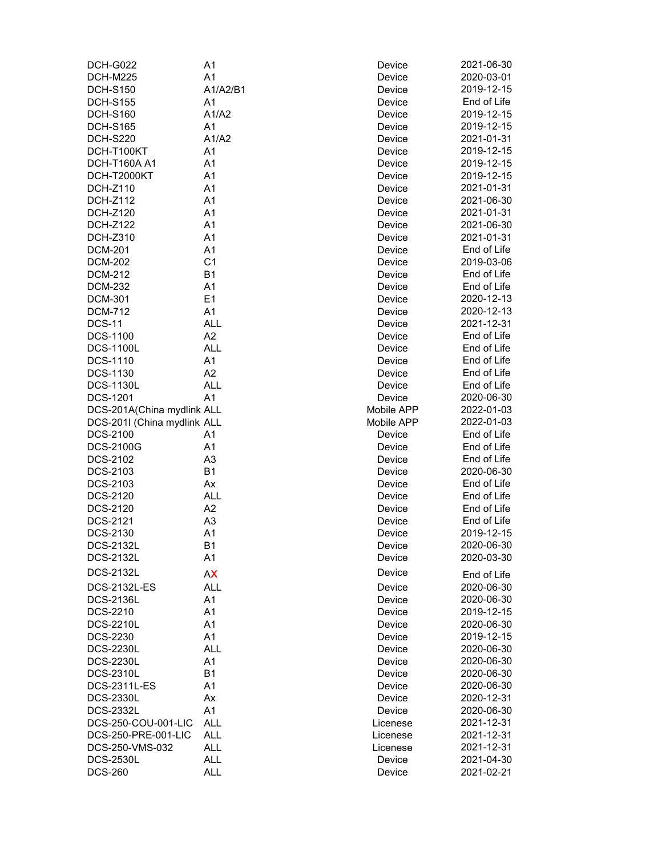| <b>DCH-G022</b>             | A1             | Device     | 2021-06-30  |
|-----------------------------|----------------|------------|-------------|
| DCH-M225                    | A1             | Device     | 2020-03-01  |
| <b>DCH-S150</b>             | A1/A2/B1       | Device     | 2019-12-15  |
| <b>DCH-S155</b>             | A <sub>1</sub> | Device     | End of Life |
| <b>DCH-S160</b>             | A1/A2          | Device     | 2019-12-15  |
| <b>DCH-S165</b>             | A <sub>1</sub> | Device     | 2019-12-15  |
| <b>DCH-S220</b>             | A1/A2          | Device     | 2021-01-31  |
| DCH-T100KT                  | A1             | Device     | 2019-12-15  |
| DCH-T160A A1                | A1             | Device     | 2019-12-15  |
| DCH-T2000KT                 | A1             | Device     | 2019-12-15  |
| <b>DCH-Z110</b>             | A1             | Device     | 2021-01-31  |
| <b>DCH-Z112</b>             | A1             | Device     | 2021-06-30  |
| <b>DCH-Z120</b>             | A1             | Device     | 2021-01-31  |
| DCH-Z122                    | A <sub>1</sub> | Device     | 2021-06-30  |
| <b>DCH-Z310</b>             | A <sub>1</sub> | Device     | 2021-01-31  |
| <b>DCM-201</b>              | A1             | Device     | End of Life |
| <b>DCM-202</b>              | C <sub>1</sub> | Device     | 2019-03-06  |
| <b>DCM-212</b>              | <b>B1</b>      | Device     | End of Life |
| <b>DCM-232</b>              | A1             | Device     | End of Life |
|                             | E <sub>1</sub> |            | 2020-12-13  |
| <b>DCM-301</b>              |                | Device     |             |
| <b>DCM-712</b>              | A1             | Device     | 2020-12-13  |
| <b>DCS-11</b>               | <b>ALL</b>     | Device     | 2021-12-31  |
| DCS-1100                    | A2             | Device     | End of Life |
| <b>DCS-1100L</b>            | <b>ALL</b>     | Device     | End of Life |
| DCS-1110                    | A1             | Device     | End of Life |
| DCS-1130                    | A <sub>2</sub> | Device     | End of Life |
| <b>DCS-1130L</b>            | <b>ALL</b>     | Device     | End of Life |
| <b>DCS-1201</b>             | A1             | Device     | 2020-06-30  |
| DCS-201A(China mydlink ALL  |                | Mobile APP | 2022-01-03  |
| DCS-201I (China mydlink ALL |                | Mobile APP | 2022-01-03  |
| DCS-2100                    | A1             | Device     | End of Life |
| <b>DCS-2100G</b>            | A1             | Device     | End of Life |
| DCS-2102                    | A3             | Device     | End of Life |
| DCS-2103                    | <b>B1</b>      | Device     | 2020-06-30  |
| DCS-2103                    | Ax             | Device     | End of Life |
| DCS-2120                    | ALL            | Device     | End of Life |
| DCS-2120                    | A2             | Device     | End of Life |
| DCS-2121                    | A <sub>3</sub> | Device     | End of Life |
| DCS-2130                    | A1             | Device     | 2019-12-15  |
| <b>DCS-2132L</b>            | <b>B1</b>      | Device     | 2020-06-30  |
| <b>DCS-2132L</b>            | A1             | Device     | 2020-03-30  |
| <b>DCS-2132L</b>            | AX             | Device     | End of Life |
| <b>DCS-2132L-ES</b>         | <b>ALL</b>     | Device     | 2020-06-30  |
|                             |                |            |             |
| <b>DCS-2136L</b>            | A1             | Device     | 2020-06-30  |
| DCS-2210                    | A1             | Device     | 2019-12-15  |
| <b>DCS-2210L</b>            | A1             | Device     | 2020-06-30  |
| <b>DCS-2230</b>             | A1             | Device     | 2019-12-15  |
| <b>DCS-2230L</b>            | <b>ALL</b>     | Device     | 2020-06-30  |
| <b>DCS-2230L</b>            | A1             | Device     | 2020-06-30  |
| <b>DCS-2310L</b>            | <b>B1</b>      | Device     | 2020-06-30  |
| DCS-2311L-ES                | A1             | Device     | 2020-06-30  |
| <b>DCS-2330L</b>            | Ax             | Device     | 2020-12-31  |
| <b>DCS-2332L</b>            | A <sub>1</sub> | Device     | 2020-06-30  |
| DCS-250-COU-001-LIC         | <b>ALL</b>     | Licenese   | 2021-12-31  |
| DCS-250-PRE-001-LIC         | <b>ALL</b>     | Licenese   | 2021-12-31  |
| DCS-250-VMS-032             | <b>ALL</b>     | Licenese   | 2021-12-31  |
| <b>DCS-2530L</b>            | <b>ALL</b>     | Device     | 2021-04-30  |
| <b>DCS-260</b>              | <b>ALL</b>     | Device     | 2021-02-21  |
|                             |                |            |             |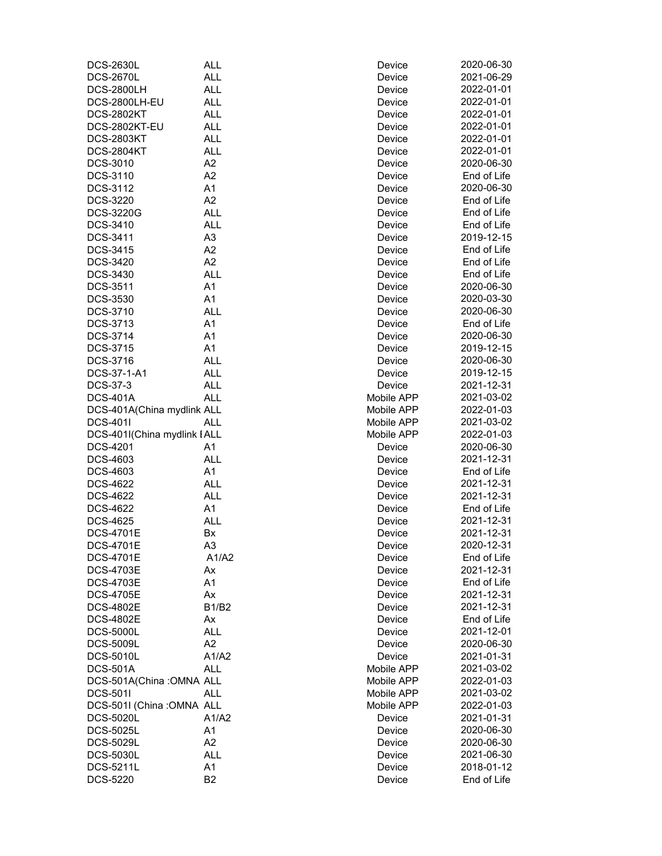| <b>DCS-2630L</b>                              | <b>ALL</b>               | Device                   | 2020-06-30               |
|-----------------------------------------------|--------------------------|--------------------------|--------------------------|
| <b>DCS-2670L</b>                              | <b>ALL</b>               | Device                   | 2021-06-29               |
| <b>DCS-2800LH</b>                             | <b>ALL</b>               | Device                   | 2022-01-01               |
| DCS-2800LH-EU                                 | <b>ALL</b>               | Device                   | 2022-01-01               |
| <b>DCS-2802KT</b>                             | <b>ALL</b>               | Device                   | 2022-01-01               |
| DCS-2802KT-EU                                 | <b>ALL</b>               | Device                   | 2022-01-01               |
| <b>DCS-2803KT</b>                             | <b>ALL</b>               | Device                   | 2022-01-01               |
| <b>DCS-2804KT</b>                             | <b>ALL</b>               | Device                   | 2022-01-01               |
| DCS-3010                                      | A2                       | Device                   | 2020-06-30               |
| DCS-3110                                      | A2                       | Device                   | End of Life              |
| DCS-3112                                      | A1                       | Device                   | 2020-06-30               |
| <b>DCS-3220</b>                               | A2                       | Device                   | End of Life              |
| <b>DCS-3220G</b>                              | <b>ALL</b>               | Device                   | End of Life              |
| DCS-3410                                      | <b>ALL</b>               | Device                   | End of Life              |
| DCS-3411                                      | A <sub>3</sub>           | Device                   | 2019-12-15               |
| DCS-3415                                      | A2                       | Device                   | End of Life              |
| DCS-3420                                      | A2                       | Device                   | End of Life              |
| DCS-3430                                      | <b>ALL</b>               | Device                   | End of Life              |
| DCS-3511                                      | A1                       | Device                   | 2020-06-30               |
| DCS-3530                                      | A1                       | Device                   | 2020-03-30               |
| DCS-3710                                      | <b>ALL</b>               | Device                   | 2020-06-30               |
|                                               | A1                       |                          | End of Life              |
| DCS-3713<br>DCS-3714                          | A1                       | Device<br>Device         | 2020-06-30               |
| <b>DCS-3715</b>                               | A1                       |                          |                          |
|                                               |                          | Device                   | 2019-12-15               |
| DCS-3716                                      | <b>ALL</b><br><b>ALL</b> | Device                   | 2020-06-30<br>2019-12-15 |
| DCS-37-1-A1                                   | <b>ALL</b>               | Device                   | 2021-12-31               |
| DCS-37-3                                      |                          | Device                   | 2021-03-02               |
| <b>DCS-401A</b><br>DCS-401A(China mydlink ALL | <b>ALL</b>               | Mobile APP<br>Mobile APP | 2022-01-03               |
| <b>DCS-401I</b>                               | <b>ALL</b>               | Mobile APP               | 2021-03-02               |
| DCS-401I(China mydlink I ALL                  |                          | Mobile APP               | 2022-01-03               |
| DCS-4201                                      | A1                       | Device                   | 2020-06-30               |
| DCS-4603                                      | <b>ALL</b>               | Device                   | 2021-12-31               |
| DCS-4603                                      | A1                       | Device                   | End of Life              |
| <b>DCS-4622</b>                               | <b>ALL</b>               | Device                   | 2021-12-31               |
| <b>DCS-4622</b>                               | <b>ALL</b>               | Device                   | 2021-12-31               |
| <b>DCS-4622</b>                               | A <sub>1</sub>           | Device                   | End of Life              |
| <b>DCS-4625</b>                               | <b>ALL</b>               | Device                   | 2021-12-31               |
| <b>DCS-4701E</b>                              | Bx                       | Device                   | 2021-12-31               |
| DCS-4701E                                     | A <sub>3</sub>           | Device                   | 2020-12-31               |
| <b>DCS-4701E</b>                              | A1/A2                    | Device                   | End of Life              |
| <b>DCS-4703E</b>                              | Аx                       | Device                   | 2021-12-31               |
| <b>DCS-4703E</b>                              | A1                       | Device                   | End of Life              |
| <b>DCS-4705E</b>                              | Ax                       | Device                   | 2021-12-31               |
| <b>DCS-4802E</b>                              | <b>B1/B2</b>             | Device                   | 2021-12-31               |
| <b>DCS-4802E</b>                              | Ax                       | Device                   | End of Life              |
| <b>DCS-5000L</b>                              | <b>ALL</b>               | Device                   | 2021-12-01               |
| <b>DCS-5009L</b>                              | A2                       | Device                   | 2020-06-30               |
| <b>DCS-5010L</b>                              | A1/A2                    | Device                   | 2021-01-31               |
| <b>DCS-501A</b>                               | <b>ALL</b>               | Mobile APP               | 2021-03-02               |
| DCS-501A(China: OMNA ALL                      |                          | Mobile APP               | 2022-01-03               |
| <b>DCS-501I</b>                               | <b>ALL</b>               | Mobile APP               | 2021-03-02               |
| DCS-501I (China: OMNA ALL                     |                          | Mobile APP               | 2022-01-03               |
| <b>DCS-5020L</b>                              | A1/A2                    | Device                   | 2021-01-31               |
| <b>DCS-5025L</b>                              | A1                       | Device                   | 2020-06-30               |
| <b>DCS-5029L</b>                              | A2                       | Device                   | 2020-06-30               |
| <b>DCS-5030L</b>                              | <b>ALL</b>               | Device                   | 2021-06-30               |
| DCS-5211L                                     | A1                       | Device                   | 2018-01-12               |
| DCS-5220                                      | B <sub>2</sub>           | Device                   | End of Life              |
|                                               |                          |                          |                          |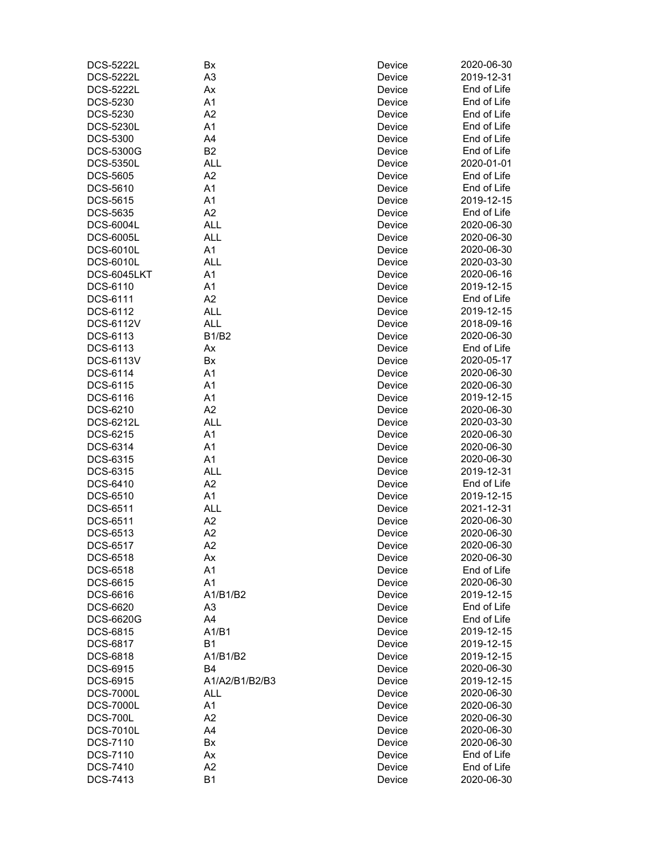| <b>DCS-5222L</b> | Bx             | Device | 2020-06-30  |
|------------------|----------------|--------|-------------|
| <b>DCS-5222L</b> | A <sub>3</sub> | Device | 2019-12-31  |
| <b>DCS-5222L</b> | Ax             | Device | End of Life |
| DCS-5230         | A1             | Device | End of Life |
| DCS-5230         | A2             | Device | End of Life |
| <b>DCS-5230L</b> | A1             | Device | End of Life |
| <b>DCS-5300</b>  | A4             | Device | End of Life |
| <b>DCS-5300G</b> | B <sub>2</sub> | Device | End of Life |
| <b>DCS-5350L</b> | <b>ALL</b>     | Device | 2020-01-01  |
| <b>DCS-5605</b>  | A2             | Device | End of Life |
| DCS-5610         | A1             | Device | End of Life |
| DCS-5615         | A1             | Device | 2019-12-15  |
| <b>DCS-5635</b>  | A2             | Device | End of Life |
| <b>DCS-6004L</b> | <b>ALL</b>     | Device | 2020-06-30  |
| <b>DCS-6005L</b> | <b>ALL</b>     | Device | 2020-06-30  |
| <b>DCS-6010L</b> | A1             | Device | 2020-06-30  |
| <b>DCS-6010L</b> | <b>ALL</b>     | Device | 2020-03-30  |
| DCS-6045LKT      | A1             | Device | 2020-06-16  |
| DCS-6110         | A <sub>1</sub> | Device | 2019-12-15  |
| DCS-6111         | A2             | Device | End of Life |
| DCS-6112         | <b>ALL</b>     | Device | 2019-12-15  |
|                  | <b>ALL</b>     |        | 2018-09-16  |
| <b>DCS-6112V</b> |                | Device |             |
| DCS-6113         | <b>B1/B2</b>   | Device | 2020-06-30  |
| DCS-6113         | Ax             | Device | End of Life |
| <b>DCS-6113V</b> | Bx             | Device | 2020-05-17  |
| DCS-6114         | A1             | Device | 2020-06-30  |
| DCS-6115         | A <sub>1</sub> | Device | 2020-06-30  |
| DCS-6116         | A <sub>1</sub> | Device | 2019-12-15  |
| DCS-6210         | A2             | Device | 2020-06-30  |
| DCS-6212L        | <b>ALL</b>     | Device | 2020-03-30  |
| DCS-6215         | A1             | Device | 2020-06-30  |
| DCS-6314         | A1             | Device | 2020-06-30  |
| DCS-6315         | A1             | Device | 2020-06-30  |
| DCS-6315         | <b>ALL</b>     | Device | 2019-12-31  |
| DCS-6410         | A2             | Device | End of Life |
| DCS-6510         | A1             | Device | 2019-12-15  |
| DCS-6511         | <b>ALL</b>     | Device | 2021-12-31  |
| DCS-6511         | A2             | Device | 2020-06-30  |
| DCS-6513         | A <sub>2</sub> | Device | 2020-06-30  |
| DCS-6517         | A2             | Device | 2020-06-30  |
| DCS-6518         | Аx             | Device | 2020-06-30  |
| DCS-6518         | A1             | Device | End of Life |
| DCS-6615         | A1             | Device | 2020-06-30  |
| DCS-6616         | A1/B1/B2       | Device | 2019-12-15  |
| <b>DCS-6620</b>  | A <sub>3</sub> | Device | End of Life |
| DCS-6620G        | A4             | Device | End of Life |
| <b>DCS-6815</b>  | A1/B1          | Device | 2019-12-15  |
| DCS-6817         | <b>B1</b>      | Device | 2019-12-15  |
| DCS-6818         | A1/B1/B2       | Device | 2019-12-15  |
| DCS-6915         | <b>B4</b>      | Device | 2020-06-30  |
| DCS-6915         | A1/A2/B1/B2/B3 | Device | 2019-12-15  |
| <b>DCS-7000L</b> | <b>ALL</b>     | Device | 2020-06-30  |
| <b>DCS-7000L</b> | A1             | Device | 2020-06-30  |
| <b>DCS-700L</b>  | A2             | Device | 2020-06-30  |
| <b>DCS-7010L</b> | A4             | Device | 2020-06-30  |
| DCS-7110         | Bx             | Device | 2020-06-30  |
| DCS-7110         | Ax             | Device | End of Life |
| <b>DCS-7410</b>  | A2             | Device | End of Life |
| DCS-7413         | B <sub>1</sub> | Device | 2020-06-30  |
|                  |                |        |             |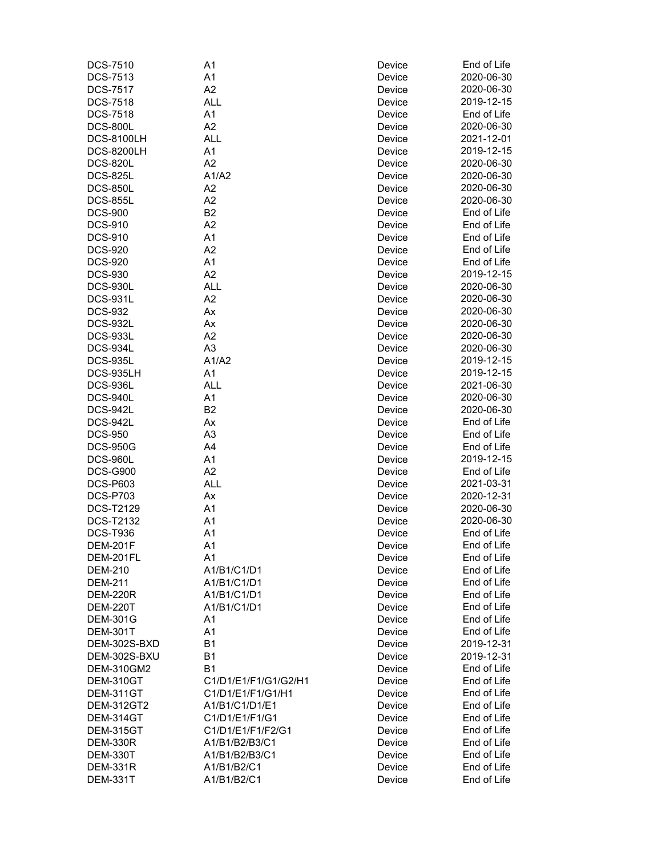| DCS-7510          | A <sub>1</sub>       | Device | End of Life |
|-------------------|----------------------|--------|-------------|
| <b>DCS-7513</b>   | A1                   | Device | 2020-06-30  |
| <b>DCS-7517</b>   | A2                   | Device | 2020-06-30  |
| <b>DCS-7518</b>   | <b>ALL</b>           | Device | 2019-12-15  |
| <b>DCS-7518</b>   | A <sub>1</sub>       | Device | End of Life |
| <b>DCS-800L</b>   | A2                   | Device | 2020-06-30  |
| <b>DCS-8100LH</b> | <b>ALL</b>           | Device | 2021-12-01  |
| <b>DCS-8200LH</b> | A <sub>1</sub>       | Device | 2019-12-15  |
| <b>DCS-820L</b>   | A2                   | Device | 2020-06-30  |
| <b>DCS-825L</b>   | A1/A2                |        | 2020-06-30  |
|                   |                      | Device |             |
| <b>DCS-850L</b>   | A2                   | Device | 2020-06-30  |
| <b>DCS-855L</b>   | A2                   | Device | 2020-06-30  |
| <b>DCS-900</b>    | B <sub>2</sub>       | Device | End of Life |
| <b>DCS-910</b>    | A2                   | Device | End of Life |
| <b>DCS-910</b>    | A1                   | Device | End of Life |
| <b>DCS-920</b>    | A <sub>2</sub>       | Device | End of Life |
| <b>DCS-920</b>    | A <sub>1</sub>       | Device | End of Life |
| <b>DCS-930</b>    | A2                   | Device | 2019-12-15  |
| <b>DCS-930L</b>   | <b>ALL</b>           | Device | 2020-06-30  |
| <b>DCS-931L</b>   | A2                   | Device | 2020-06-30  |
| <b>DCS-932</b>    | Ax                   | Device | 2020-06-30  |
| <b>DCS-932L</b>   | Ax                   | Device | 2020-06-30  |
| <b>DCS-933L</b>   | A2                   | Device | 2020-06-30  |
| DCS-934L          | A <sub>3</sub>       | Device | 2020-06-30  |
| <b>DCS-935L</b>   | A1/A2                | Device | 2019-12-15  |
| DCS-935LH         | A <sub>1</sub>       | Device | 2019-12-15  |
| <b>DCS-936L</b>   | <b>ALL</b>           | Device | 2021-06-30  |
|                   | A <sub>1</sub>       |        | 2020-06-30  |
| DCS-940L          |                      | Device |             |
| DCS-942L          | B <sub>2</sub>       | Device | 2020-06-30  |
| DCS-942L          | Ax                   | Device | End of Life |
| <b>DCS-950</b>    | A <sub>3</sub>       | Device | End of Life |
| <b>DCS-950G</b>   | A4                   | Device | End of Life |
| <b>DCS-960L</b>   | A1                   | Device | 2019-12-15  |
| <b>DCS-G900</b>   | A2                   | Device | End of Life |
| <b>DCS-P603</b>   | <b>ALL</b>           | Device | 2021-03-31  |
| <b>DCS-P703</b>   | Ax                   | Device | 2020-12-31  |
| <b>DCS-T2129</b>  | A <sub>1</sub>       | Device | 2020-06-30  |
| <b>DCS-T2132</b>  | A <sub>1</sub>       | Device | 2020-06-30  |
| <b>DCS-T936</b>   | A <sub>1</sub>       | Device | End of Life |
| <b>DEM-201F</b>   | A <sub>1</sub>       | Device | End of Life |
| DEM-201FL         | A1                   | Device | End of Life |
| <b>DEM-210</b>    | A1/B1/C1/D1          | Device | End of Life |
| <b>DEM-211</b>    | A1/B1/C1/D1          | Device | End of Life |
| <b>DEM-220R</b>   | A1/B1/C1/D1          | Device | End of Life |
| <b>DEM-220T</b>   | A1/B1/C1/D1          | Device | End of Life |
| <b>DEM-301G</b>   | A1                   | Device | End of Life |
| <b>DEM-301T</b>   | A1                   | Device | End of Life |
|                   | <b>B1</b>            |        | 2019-12-31  |
| DEM-302S-BXD      |                      | Device |             |
| DEM-302S-BXU      | B <sub>1</sub>       | Device | 2019-12-31  |
| <b>DEM-310GM2</b> | <b>B1</b>            | Device | End of Life |
| DEM-310GT         | C1/D1/E1/F1/G1/G2/H1 | Device | End of Life |
| DEM-311GT         | C1/D1/E1/F1/G1/H1    | Device | End of Life |
| <b>DEM-312GT2</b> | A1/B1/C1/D1/E1       | Device | End of Life |
| DEM-314GT         | C1/D1/E1/F1/G1       | Device | End of Life |
| DEM-315GT         | C1/D1/E1/F1/F2/G1    | Device | End of Life |
| <b>DEM-330R</b>   | A1/B1/B2/B3/C1       | Device | End of Life |
| <b>DEM-330T</b>   | A1/B1/B2/B3/C1       | Device | End of Life |
| <b>DEM-331R</b>   | A1/B1/B2/C1          | Device | End of Life |
| <b>DEM-331T</b>   | A1/B1/B2/C1          | Device | End of Life |
|                   |                      |        |             |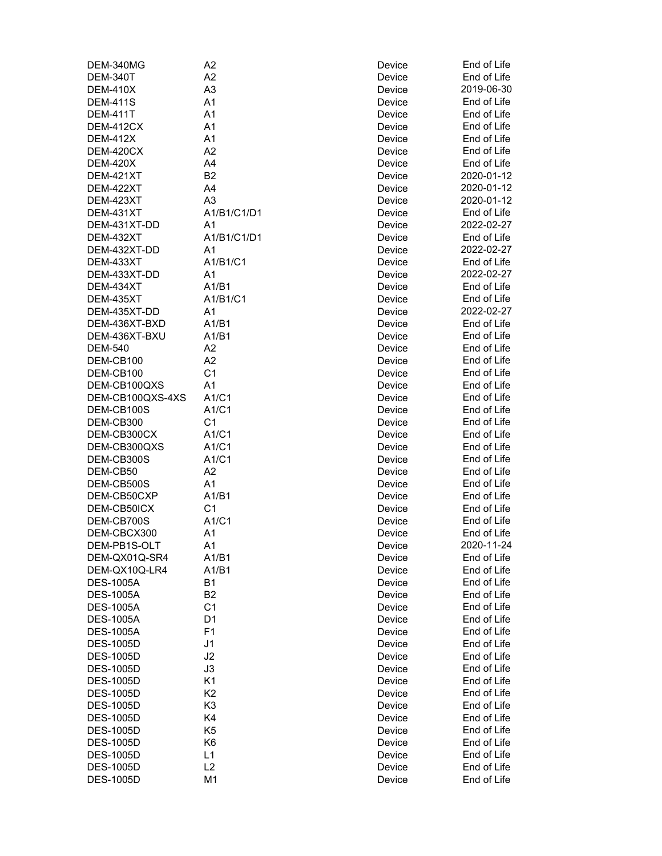| DEM-340MG        | A2             | Device | End of Life |
|------------------|----------------|--------|-------------|
| <b>DEM-340T</b>  | A2             | Device | End of Life |
| <b>DEM-410X</b>  | A <sub>3</sub> | Device | 2019-06-30  |
| <b>DEM-411S</b>  | A1             | Device | End of Life |
| <b>DEM-411T</b>  | A <sub>1</sub> | Device | End of Life |
| DEM-412CX        | A <sub>1</sub> | Device | End of Life |
| <b>DEM-412X</b>  | A1             | Device | End of Life |
| DEM-420CX        | A <sub>2</sub> | Device | End of Life |
| <b>DEM-420X</b>  | A4             | Device | End of Life |
| <b>DEM-421XT</b> | B <sub>2</sub> | Device | 2020-01-12  |
| DEM-422XT        | A4             | Device | 2020-01-12  |
| DEM-423XT        | A <sub>3</sub> | Device | 2020-01-12  |
| DEM-431XT        | A1/B1/C1/D1    | Device | End of Life |
| DEM-431XT-DD     | A <sub>1</sub> | Device | 2022-02-27  |
| DEM-432XT        | A1/B1/C1/D1    | Device | End of Life |
| DEM-432XT-DD     | A <sub>1</sub> | Device | 2022-02-27  |
| DEM-433XT        | A1/B1/C1       | Device | End of Life |
| DEM-433XT-DD     | A1             | Device | 2022-02-27  |
| DEM-434XT        | A1/B1          | Device | End of Life |
| DEM-435XT        | A1/B1/C1       | Device | End of Life |
| DEM-435XT-DD     | A <sub>1</sub> | Device | 2022-02-27  |
| DEM-436XT-BXD    | A1/B1          | Device | End of Life |
| DEM-436XT-BXU    | A1/B1          | Device | End of Life |
| <b>DEM-540</b>   | A <sub>2</sub> | Device | End of Life |
| DEM-CB100        | A <sub>2</sub> | Device | End of Life |
| DEM-CB100        | C <sub>1</sub> |        | End of Life |
|                  |                | Device |             |
| DEM-CB100QXS     | A1             | Device | End of Life |
| DEM-CB100QXS-4XS | A1/C1          | Device | End of Life |
| DEM-CB100S       | A1/C1          | Device | End of Life |
| DEM-CB300        | C <sub>1</sub> | Device | End of Life |
| DEM-CB300CX      | A1/C1          | Device | End of Life |
| DEM-CB300QXS     | A1/C1          | Device | End of Life |
| DEM-CB300S       | A1/C1          | Device | End of Life |
| DEM-CB50         | A2             | Device | End of Life |
| DEM-CB500S       | A1             | Device | End of Life |
| DEM-CB50CXP      | A1/B1          | Device | End of Life |
| DEM-CB50ICX      | C <sub>1</sub> | Device | End of Life |
| DEM-CB700S       | A1/C1          | Device | End of Life |
| DEM-CBCX300      | A1             | Device | End of Life |
| DEM-PB1S-OLT     | A1             | Device | 2020-11-24  |
| DEM-QX01Q-SR4    | A1/B1          | Device | End of Life |
| DEM-QX10Q-LR4    | A1/B1          | Device | End of Life |
| <b>DES-1005A</b> | <b>B1</b>      | Device | End of Life |
| <b>DES-1005A</b> | B <sub>2</sub> | Device | End of Life |
| <b>DES-1005A</b> | C <sub>1</sub> | Device | End of Life |
| <b>DES-1005A</b> | D <sub>1</sub> | Device | End of Life |
| <b>DES-1005A</b> | F1             | Device | End of Life |
| <b>DES-1005D</b> | J <sub>1</sub> | Device | End of Life |
| <b>DES-1005D</b> | J2             | Device | End of Life |
| <b>DES-1005D</b> | J3             | Device | End of Life |
| <b>DES-1005D</b> |                |        |             |
|                  | K1             | Device | End of Life |
| <b>DES-1005D</b> | K <sub>2</sub> | Device | End of Life |
| <b>DES-1005D</b> | K <sub>3</sub> | Device | End of Life |
| <b>DES-1005D</b> | K4             | Device | End of Life |
| <b>DES-1005D</b> | K <sub>5</sub> | Device | End of Life |
| <b>DES-1005D</b> | K <sub>6</sub> | Device | End of Life |
| <b>DES-1005D</b> | L1             | Device | End of Life |
| <b>DES-1005D</b> | L2             | Device | End of Life |
| <b>DES-1005D</b> | M <sub>1</sub> | Device | End of Life |

| <sub>/</sub> ice | End of Li           |
|------------------|---------------------|
| <sub>/</sub> ice | End of Li           |
| <sub>/</sub> ice | 2019-06-            |
|                  | End of Li           |
| ice/             |                     |
| <sub>/</sub> ice | End of Li           |
| <sub>/</sub> ice | End of Li           |
| <sub>/</sub> ice | ind of Li<br>E      |
| /ice             | Ind of Li<br>E      |
| ice/             | End of Li           |
| /ice             | 2020-01-            |
| <sub>/</sub> ice | 2020-01-            |
| <sub>/</sub> ice | 2020-01-            |
| /ice             | End of Li           |
| ice/             | 2022-02-2           |
| <sub>/</sub> ice | End of Li           |
|                  |                     |
| ice/             | 2022-02-2           |
| <sub>/</sub> ice | End of Li           |
| /ice             | 2022-02-2           |
| ice/             | End of Li           |
| /ice             | End of Li           |
| <sub>/</sub> ice | 2022-02-2           |
| <sub>/</sub> ice | End of Li           |
| <sub>/</sub> ice | End of Li           |
| ice/             | End of Li           |
| <sub>/</sub> ice | End of Li           |
| <sub>/</sub> ice | End of Li           |
| <sub>/</sub> ice | Ind of Li<br>E      |
| ice/             | End of Li<br>E      |
| ice/             | End of Li<br>E      |
|                  | End of Li           |
| ice/             |                     |
| ice/             | End of Li           |
| <sub>/</sub> ice | End of Li           |
| ice/             | End of Li           |
| ice/             | End of Li           |
| <sub>/</sub> ice | End of Li           |
| <sub>/</sub> ice | End of Li           |
| <sub>/</sub> ice | Ind of Li<br>E      |
| ice/             | .<br>Ind of Li<br>Е |
| <sub>/</sub> ice | Ind of Li<br>E      |
| ice/             | 2020-11-            |
| <sub>/</sub> ice | End of Li           |
| <sub>/</sub> ice | End of Li           |
| ice/             | End of Li           |
| /ice             | End of Li           |
| <sub>/</sub> ice | End of Li           |
|                  | End of Li           |
| ice/             |                     |
| <sub>/</sub> ice | ind of Li<br>E      |
| /ice             | ind of Li<br>E      |
| ice/             | End of Li<br>E      |
| ice/             | End of Li           |
| ice/             | End of Li           |
| ice/             | End of Li           |
| ice/             | End of Li           |
| ice/             | End of Li           |
| <sub>/</sub> ice | End of Li           |
| ice/             | End of Li           |
| <sub>/</sub> ice | ind of Li<br>E      |
| /ice             | ind of Li<br>E      |
| /ice             | End of Li           |
|                  |                     |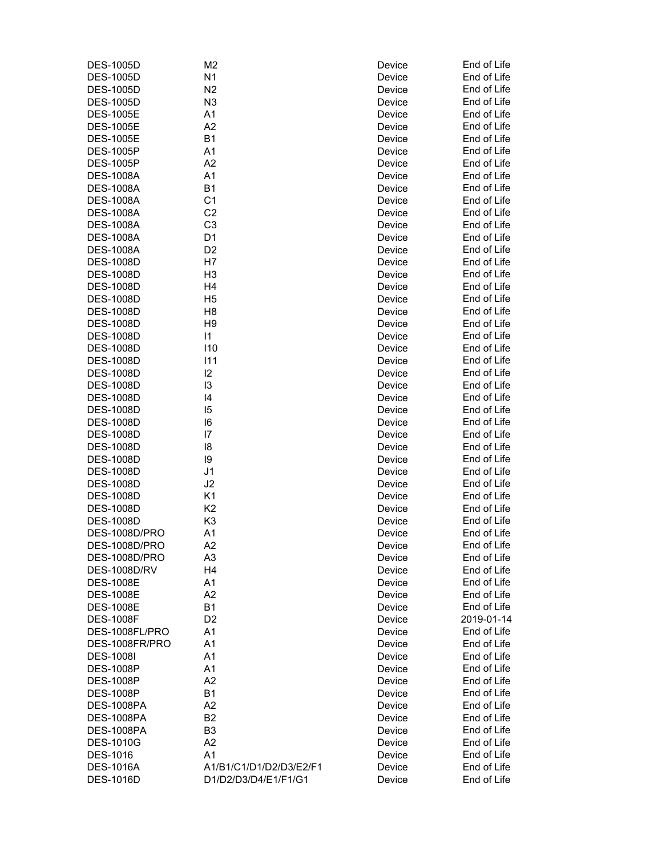| <b>DES-1005D</b>    | M2                      | Device           | End of Life |
|---------------------|-------------------------|------------------|-------------|
| <b>DES-1005D</b>    | N <sub>1</sub>          | Device           | End of Life |
| <b>DES-1005D</b>    | N <sub>2</sub>          | Device           | End of Life |
| <b>DES-1005D</b>    | N <sub>3</sub>          | Device           | End of Life |
| <b>DES-1005E</b>    | A <sub>1</sub>          | Device           | End of Life |
| <b>DES-1005E</b>    | A <sub>2</sub>          | Device           | End of Life |
| <b>DES-1005E</b>    | B <sub>1</sub>          | Device           | End of Life |
| <b>DES-1005P</b>    | A1                      | Device           | End of Life |
| <b>DES-1005P</b>    | A2                      | Device           | End of Life |
| <b>DES-1008A</b>    | A <sub>1</sub>          | Device           | End of Life |
| <b>DES-1008A</b>    | B <sub>1</sub>          | Device           | End of Life |
| <b>DES-1008A</b>    | C <sub>1</sub>          | Device           | End of Life |
| <b>DES-1008A</b>    | C <sub>2</sub>          | Device           | End of Life |
| <b>DES-1008A</b>    | C <sub>3</sub>          | Device           | End of Life |
| <b>DES-1008A</b>    | D <sub>1</sub>          | Device           | End of Life |
| <b>DES-1008A</b>    | D <sub>2</sub>          | Device           | End of Life |
| <b>DES-1008D</b>    | H <sub>7</sub>          | Device           | End of Life |
| <b>DES-1008D</b>    | H <sub>3</sub>          | Device           | End of Life |
| <b>DES-1008D</b>    | H <sub>4</sub>          | Device           | End of Life |
| <b>DES-1008D</b>    | H <sub>5</sub>          | Device           | End of Life |
| <b>DES-1008D</b>    | H <sub>8</sub>          | Device           | End of Life |
| <b>DES-1008D</b>    | H <sub>9</sub>          | Device           | End of Life |
| <b>DES-1008D</b>    | $\mathsf{I}$            | Device           | End of Life |
| <b>DES-1008D</b>    | 110                     | Device           | End of Life |
| <b>DES-1008D</b>    | 111                     | Device           | End of Life |
| <b>DES-1008D</b>    | 12                      | Device           | End of Life |
| <b>DES-1008D</b>    | 13                      | Device           | End of Life |
| <b>DES-1008D</b>    | 4                       |                  | End of Life |
| <b>DES-1008D</b>    | 15                      | Device<br>Device | End of Life |
|                     |                         |                  | End of Life |
| <b>DES-1008D</b>    | 16                      | Device           |             |
| <b>DES-1008D</b>    | $\overline{17}$         | Device           | End of Life |
| <b>DES-1008D</b>    | 18                      | Device           | End of Life |
| <b>DES-1008D</b>    | 19                      | Device           | End of Life |
| <b>DES-1008D</b>    | J1                      | Device           | End of Life |
| <b>DES-1008D</b>    | J2                      | Device           | End of Life |
| <b>DES-1008D</b>    | K <sub>1</sub>          | Device           | End of Life |
| <b>DES-1008D</b>    | K <sub>2</sub>          | Device           | End of Life |
| <b>DES-1008D</b>    | K <sub>3</sub>          | Device           | End of Life |
| DES-1008D/PRO       | A1                      | Device           | End of Life |
| DES-1008D/PRO       | A <sub>2</sub>          | Device           | End of Life |
| DES-1008D/PRO       | A3                      | Device           | End of Life |
| <b>DES-1008D/RV</b> | H <sub>4</sub>          | Device           | End of Life |
| <b>DES-1008E</b>    | A <sub>1</sub>          | Device           | End of Life |
| <b>DES-1008E</b>    | A2                      | Device           | End of Life |
| <b>DES-1008E</b>    | <b>B1</b>               | Device           | End of Life |
| <b>DES-1008F</b>    | D <sub>2</sub>          | Device           | 2019-01-14  |
| DES-1008FL/PRO      | A <sub>1</sub>          | Device           | End of Life |
| DES-1008FR/PRO      | A <sub>1</sub>          | Device           | End of Life |
| <b>DES-1008I</b>    | A <sub>1</sub>          | Device           | End of Life |
| <b>DES-1008P</b>    | A1                      | Device           | End of Life |
| <b>DES-1008P</b>    | A2                      | Device           | End of Life |
| <b>DES-1008P</b>    | B <sub>1</sub>          | Device           | End of Life |
| <b>DES-1008PA</b>   | A2                      | Device           | End of Life |
| <b>DES-1008PA</b>   | B <sub>2</sub>          | Device           | End of Life |
| <b>DES-1008PA</b>   | B <sub>3</sub>          | Device           | End of Life |
| <b>DES-1010G</b>    | A2                      | Device           | End of Life |
| DES-1016            | A <sub>1</sub>          | Device           | End of Life |
| <b>DES-1016A</b>    | A1/B1/C1/D1/D2/D3/E2/F1 | Device           | End of Life |
| <b>DES-1016D</b>    | D1/D2/D3/D4/E1/F1/G1    | Device           | End of Life |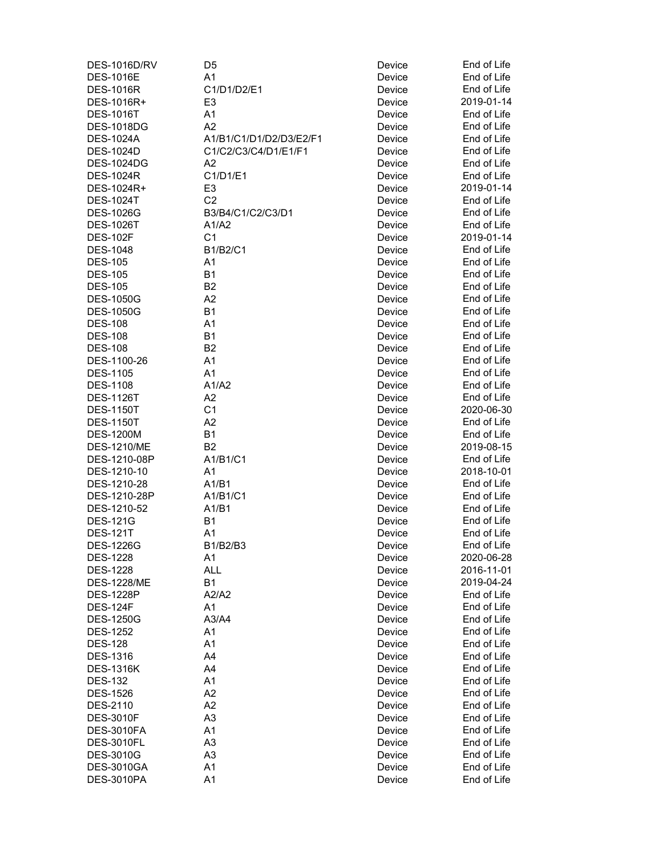| <b>DES-1016D/RV</b>        | D5                         | Device           | End of Life                |
|----------------------------|----------------------------|------------------|----------------------------|
| <b>DES-1016E</b>           | A1                         | Device           | End of Life                |
| <b>DES-1016R</b>           | C1/D1/D2/E1                | Device           | End of Life                |
| DES-1016R+                 | E <sub>3</sub>             | Device           | 2019-01-14                 |
| <b>DES-1016T</b>           | A1                         | Device           | End of Life                |
| <b>DES-1018DG</b>          | A2                         | Device           | End of Life                |
| <b>DES-1024A</b>           | A1/B1/C1/D1/D2/D3/E2/F1    | Device           | End of Life                |
| <b>DES-1024D</b>           | C1/C2/C3/C4/D1/E1/F1       | Device           | End of Life                |
| <b>DES-1024DG</b>          | A2                         | Device           | End of Life                |
| <b>DES-1024R</b>           | C1/D1/E1                   | Device           | End of Life                |
| DES-1024R+                 | E <sub>3</sub>             | Device           | 2019-01-14                 |
| <b>DES-1024T</b>           | C <sub>2</sub>             | Device           | End of Life                |
| <b>DES-1026G</b>           | B3/B4/C1/C2/C3/D1          | Device           | End of Life                |
| <b>DES-1026T</b>           | A1/A2                      | Device           | End of Life                |
| <b>DES-102F</b>            | C <sub>1</sub>             | Device           | 2019-01-14                 |
| <b>DES-1048</b>            | B1/B2/C1                   | Device           | End of Life                |
| <b>DES-105</b>             | A <sub>1</sub>             | Device           | End of Life                |
| <b>DES-105</b>             | <b>B1</b>                  | Device           | End of Life                |
| <b>DES-105</b>             | B <sub>2</sub>             | Device           | End of Life                |
| <b>DES-1050G</b>           | A2                         | Device           | End of Life                |
| <b>DES-1050G</b>           | <b>B1</b>                  | Device           | End of Life                |
| <b>DES-108</b>             | A1                         | Device           | End of Life                |
| <b>DES-108</b>             | <b>B1</b>                  | Device           | End of Life                |
| <b>DES-108</b>             | B <sub>2</sub>             | Device           | End of Life                |
| DES-1100-26                | A1                         | Device           | End of Life                |
| <b>DES-1105</b>            | A1                         | Device           | End of Life                |
| <b>DES-1108</b>            | A1/A2                      | Device           | End of Life                |
|                            |                            |                  | End of Life                |
| <b>DES-1126T</b>           | A <sub>2</sub>             | Device           |                            |
| <b>DES-1150T</b>           | C <sub>1</sub>             | Device           | 2020-06-30                 |
| <b>DES-1150T</b>           | A2                         | Device           | End of Life                |
| <b>DES-1200M</b>           | <b>B1</b>                  | Device           | End of Life                |
| <b>DES-1210/ME</b>         | B <sub>2</sub>             | Device           | 2019-08-15                 |
| DES-1210-08P               | A1/B1/C1<br>A <sub>1</sub> | Device           | End of Life                |
| DES-1210-10<br>DES-1210-28 | A1/B1                      | Device<br>Device | 2018-10-01<br>End of Life  |
| DES-1210-28P               |                            |                  | End of Life                |
|                            | A1/B1/C1                   | Device           |                            |
| DES-1210-52                | A1/B1                      | Device           | End of Life                |
| <b>DES-121G</b>            | <b>B1</b>                  | Device           | End of Life<br>End of Life |
| <b>DES-121T</b>            | A1                         | Device           |                            |
| <b>DES-1226G</b>           | B1/B2/B3                   | Device           | End of Life                |
| <b>DES-1228</b>            | A1                         | Device           | 2020-06-28                 |
| <b>DES-1228</b>            | <b>ALL</b>                 | Device           | 2016-11-01                 |
| <b>DES-1228/ME</b>         | <b>B1</b>                  | Device           | 2019-04-24                 |
| <b>DES-1228P</b>           | A2/A2                      | Device           | End of Life                |
| <b>DES-124F</b>            | A1                         | Device           | End of Life                |
| <b>DES-1250G</b>           | A3/A4                      | Device           | End of Life                |
| <b>DES-1252</b>            | A1                         | Device           | End of Life                |
| <b>DES-128</b>             | A1                         | Device           | End of Life                |
| <b>DES-1316</b>            | A4                         | Device           | End of Life                |
| <b>DES-1316K</b>           | A4                         | Device           | End of Life                |
| <b>DES-132</b>             | A1                         | Device           | End of Life                |
| <b>DES-1526</b>            | A2                         | Device           | End of Life                |
| DES-2110                   | A2                         | Device           | End of Life                |
| <b>DES-3010F</b>           | A <sub>3</sub>             | Device           | End of Life                |
| <b>DES-3010FA</b>          | A1                         | Device           | End of Life                |
| <b>DES-3010FL</b>          | A <sub>3</sub>             | Device           | End of Life                |
| DES-3010G                  | A <sub>3</sub>             | Device           | End of Life                |
| <b>DES-3010GA</b>          | A1                         | Device           | End of Life                |
| <b>DES-3010PA</b>          | A1                         | Device           | End of Life                |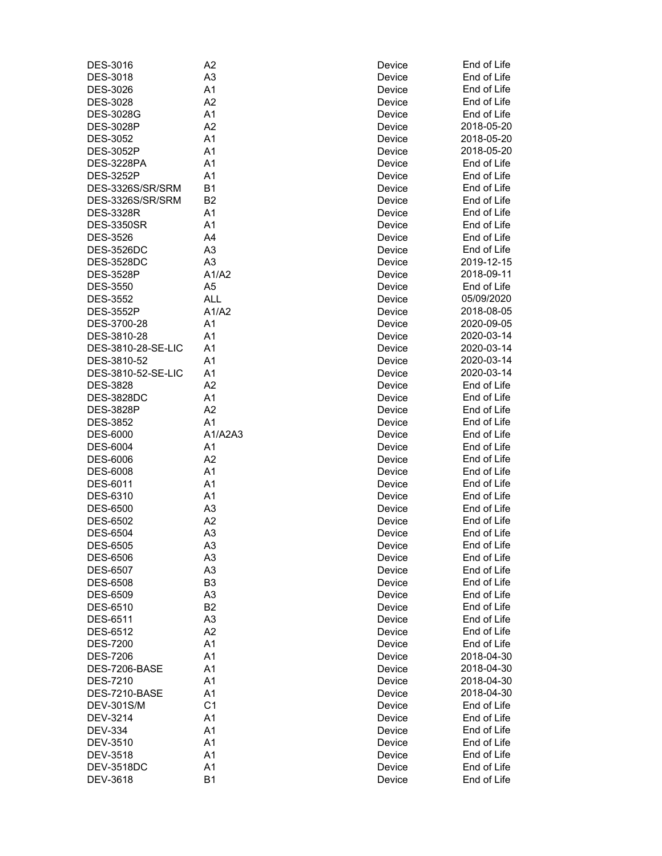| DES-3016           | A <sub>2</sub> | Device | End of Life |
|--------------------|----------------|--------|-------------|
| <b>DES-3018</b>    | A <sub>3</sub> | Device | End of Life |
| DES-3026           | A1             | Device | End of Life |
| DES-3028           | A <sub>2</sub> | Device | End of Life |
| <b>DES-3028G</b>   | A <sub>1</sub> | Device | End of Life |
| <b>DES-3028P</b>   | A2             | Device | 2018-05-20  |
| <b>DES-3052</b>    | A1             | Device | 2018-05-20  |
| <b>DES-3052P</b>   | A1             | Device | 2018-05-20  |
| <b>DES-3228PA</b>  | A1             | Device | End of Life |
| <b>DES-3252P</b>   | A1             | Device | End of Life |
| DES-3326S/SR/SRM   | B <sub>1</sub> | Device | End of Life |
| DES-3326S/SR/SRM   | B <sub>2</sub> | Device | End of Life |
| <b>DES-3328R</b>   | A1             | Device | End of Life |
| <b>DES-3350SR</b>  | A <sub>1</sub> | Device | End of Life |
| <b>DES-3526</b>    | A4             | Device | End of Life |
| <b>DES-3526DC</b>  | A <sub>3</sub> | Device | End of Life |
| <b>DES-3528DC</b>  | A <sub>3</sub> | Device | 2019-12-15  |
| <b>DES-3528P</b>   | A1/A2          | Device | 2018-09-11  |
| <b>DES-3550</b>    | A <sub>5</sub> | Device | End of Life |
| <b>DES-3552</b>    | <b>ALL</b>     | Device | 05/09/2020  |
| <b>DES-3552P</b>   | A1/A2          | Device | 2018-08-05  |
| DES-3700-28        | A <sub>1</sub> | Device | 2020-09-05  |
| DES-3810-28        | A1             | Device | 2020-03-14  |
| DES-3810-28-SE-LIC | A1             | Device | 2020-03-14  |
| DES-3810-52        | A <sub>1</sub> | Device | 2020-03-14  |
|                    | A <sub>1</sub> |        | 2020-03-14  |
| DES-3810-52-SE-LIC |                | Device |             |
| <b>DES-3828</b>    | A2             | Device | End of Life |
| <b>DES-3828DC</b>  | A1             | Device | End of Life |
| <b>DES-3828P</b>   | A2             | Device | End of Life |
| <b>DES-3852</b>    | A1             | Device | End of Life |
| <b>DES-6000</b>    | A1/A2A3        | Device | End of Life |
| <b>DES-6004</b>    | A <sub>1</sub> | Device | End of Life |
| <b>DES-6006</b>    | A <sub>2</sub> | Device | End of Life |
| <b>DES-6008</b>    | A1             | Device | End of Life |
| DES-6011           | A1             | Device | End of Life |
| DES-6310           | A1             | Device | End of Life |
| <b>DES-6500</b>    | A <sub>3</sub> | Device | End of Life |
| <b>DES-6502</b>    | A2             | Device | End of Life |
| <b>DES-6504</b>    | A <sub>3</sub> | Device | End of Life |
| <b>DES-6505</b>    | A <sub>3</sub> | Device | End of Life |
| <b>DES-6506</b>    | A3             | Device | End of Life |
| <b>DES-6507</b>    | A <sub>3</sub> | Device | End of Life |
| <b>DES-6508</b>    | B <sub>3</sub> | Device | End of Life |
| DES-6509           | A <sub>3</sub> | Device | End of Life |
| DES-6510           | B <sub>2</sub> | Device | End of Life |
| <b>DES-6511</b>    | A <sub>3</sub> | Device | End of Life |
| <b>DES-6512</b>    | A2             | Device | End of Life |
| <b>DES-7200</b>    | A1             | Device | End of Life |
| <b>DES-7206</b>    | A1             | Device | 2018-04-30  |
| DES-7206-BASE      | A1             | Device | 2018-04-30  |
| <b>DES-7210</b>    | A1             | Device | 2018-04-30  |
| DES-7210-BASE      | A <sub>1</sub> | Device | 2018-04-30  |
|                    |                |        |             |
| <b>DEV-301S/M</b>  | C <sub>1</sub> | Device | End of Life |
| DEV-3214           | A <sub>1</sub> | Device | End of Life |
| <b>DEV-334</b>     | A <sub>1</sub> | Device | End of Life |
| DEV-3510           | A <sub>1</sub> | Device | End of Life |
| DEV-3518           | A <sub>1</sub> | Device | End of Life |
| <b>DEV-3518DC</b>  | A1             | Device | End of Life |
| DEV-3618           | <b>B1</b>      | Device | End of Life |

| vice         | End of Lif      |
|--------------|-----------------|
| vice         | End of Lif      |
| vice         | End of Lif      |
| vice         | End of Lif      |
| vice         | End of Lif      |
| vice         | 2018-05-2       |
| vice         | 2018-05-2       |
| vice         | 2018-05-2       |
| vice         | End of Lif      |
| vice         | End of Lif      |
| vice         | End of Lif      |
| vice         | End of Lif      |
| vice         | End of Lif      |
| vice         | End of Lif      |
| vice         | End of Lif      |
| vice         | End of Lif      |
| vice         | 2019-12-1       |
| vice         | 2018-09-1       |
| vice         | End of Lif      |
| vice         | 05/09/202       |
| vice         | 2018-08-0       |
| vice         | 2020-09-0       |
| vice         | 2020-03-1       |
| vice         | 2020-03-1       |
| vice         | 2020-03-1       |
| vice         | 2020-03-1       |
| vice         | End of Lif      |
| vice         | End of Lif      |
| vice         | End of Lif      |
| vice         | End of Lif      |
| vice         | End of Lif      |
| vice         | End of Lif      |
| vice         | End of Lif      |
| vice         | End of Lif      |
| vice         | End of Lif      |
| vice         | End of Lif      |
| vice         | End of Lif      |
| vice         | End of Lif      |
| vice         | End of Lif      |
| vice         | End of Lif      |
|              | End of Lif      |
| vice<br>vice | End of Lif      |
| vice         | End of Lif      |
|              | End of Lif      |
| vice         | End of Lif      |
| vice         | ind of Lif      |
| vice         | Е<br>End of Lif |
| vice         | End of Lif      |
| vice         |                 |
| vice         | 2018-04-3       |
| vice         | 2018-04-3       |
| vice         | 2018-04-3       |
| vice         | 2018-04-3       |
| vice         | End of Lif      |
| vice         | End of Lif      |
| vice         | End of Lif      |
| vice         | Ind of Lif<br>E |
| vice         | End of Lif      |
| vice         | End of Lif      |
| vice         | End of Lif      |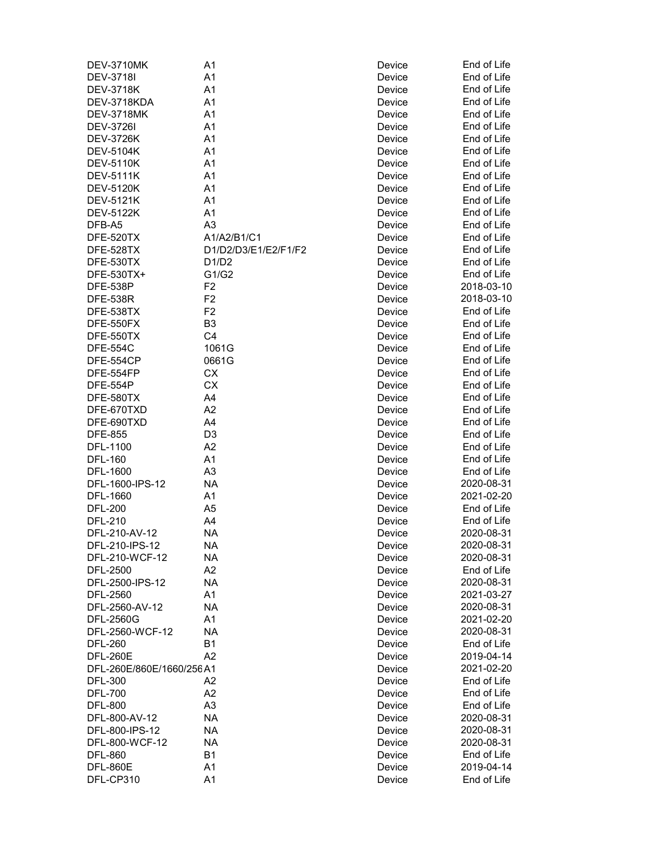| <b>DEV-3710MK</b>        | A1                   | Device | End of Life |
|--------------------------|----------------------|--------|-------------|
| <b>DEV-3718I</b>         | A1                   | Device | End of Life |
| <b>DEV-3718K</b>         | A <sub>1</sub>       | Device | End of Life |
| DEV-3718KDA              | A1                   | Device | End of Life |
| <b>DEV-3718MK</b>        | A <sub>1</sub>       | Device | End of Life |
| <b>DEV-3726I</b>         | A <sub>1</sub>       | Device | End of Life |
| <b>DEV-3726K</b>         | A1                   | Device | End of Life |
| <b>DEV-5104K</b>         | A1                   | Device | End of Life |
| <b>DEV-5110K</b>         | A1                   | Device | End of Life |
| <b>DEV-5111K</b>         | A1                   | Device | End of Life |
| <b>DEV-5120K</b>         | A1                   | Device | End of Life |
| <b>DEV-5121K</b>         | A1                   | Device | End of Life |
| <b>DEV-5122K</b>         | A <sub>1</sub>       | Device | End of Life |
| DFB-A5                   | A <sub>3</sub>       | Device | End of Life |
| DFE-520TX                | A1/A2/B1/C1          | Device | End of Life |
| DFE-528TX                | D1/D2/D3/E1/E2/F1/F2 | Device | End of Life |
| DFE-530TX                | D1/D2                | Device | End of Life |
| DFE-530TX+               | G1/G2                | Device | End of Life |
| <b>DFE-538P</b>          | F <sub>2</sub>       | Device | 2018-03-10  |
| <b>DFE-538R</b>          | F <sub>2</sub>       | Device | 2018-03-10  |
| DFE-538TX                | F <sub>2</sub>       | Device | End of Life |
| DFE-550FX                | B <sub>3</sub>       | Device | End of Life |
| DFE-550TX                | C <sub>4</sub>       | Device | End of Life |
| <b>DFE-554C</b>          | 1061G                | Device | End of Life |
| DFE-554CP                | 0661G                | Device | End of Life |
| DFE-554FP                | СX                   | Device | End of Life |
| <b>DFE-554P</b>          | CX                   | Device | End of Life |
| DFE-580TX                | A4                   | Device | End of Life |
| DFE-670TXD               | A <sub>2</sub>       | Device | End of Life |
| DFE-690TXD               | A4                   | Device | End of Life |
| <b>DFE-855</b>           | D <sub>3</sub>       | Device | End of Life |
| DFL-1100                 | A2                   | Device | End of Life |
| <b>DFL-160</b>           | A1                   | Device | End of Life |
| DFL-1600                 | A <sub>3</sub>       | Device | End of Life |
| DFL-1600-IPS-12          | NА                   | Device | 2020-08-31  |
| DFL-1660                 | A <sub>1</sub>       | Device | 2021-02-20  |
| <b>DFL-200</b>           | A <sub>5</sub>       | Device | End of Life |
| <b>DFL-210</b>           | A4                   | Device | End of Life |
| DFL-210-AV-12            | <b>NA</b>            | Device | 2020-08-31  |
| DFL-210-IPS-12           | <b>NA</b>            | Device | 2020-08-31  |
| DFL-210-WCF-12           | NA                   | Device | 2020-08-31  |
| DFL-2500                 | A2                   | Device | End of Life |
| DFL-2500-IPS-12          | NA                   | Device | 2020-08-31  |
| DFL-2560                 | A1                   | Device | 2021-03-27  |
| DFL-2560-AV-12           | NA                   | Device | 2020-08-31  |
| DFL-2560G                | A1                   | Device | 2021-02-20  |
| DFL-2560-WCF-12          | <b>NA</b>            | Device | 2020-08-31  |
| <b>DFL-260</b>           | <b>B1</b>            | Device | End of Life |
| <b>DFL-260E</b>          | A <sub>2</sub>       | Device | 2019-04-14  |
| DFL-260E/860E/1660/256A1 |                      | Device | 2021-02-20  |
| <b>DFL-300</b>           | A2                   | Device | End of Life |
| <b>DFL-700</b>           | A2                   | Device | End of Life |
| <b>DFL-800</b>           | A <sub>3</sub>       | Device | End of Life |
| DFL-800-AV-12            | NA                   | Device | 2020-08-31  |
|                          |                      |        |             |
| DFL-800-IPS-12           | NA                   | Device | 2020-08-31  |
| DFL-800-WCF-12           | NА                   | Device | 2020-08-31  |
| <b>DFL-860</b>           | <b>B1</b>            | Device | End of Life |
| <b>DFL-860E</b>          | A1                   | Device | 2019-04-14  |
| DFL-CP310                | A1                   | Device | End of Life |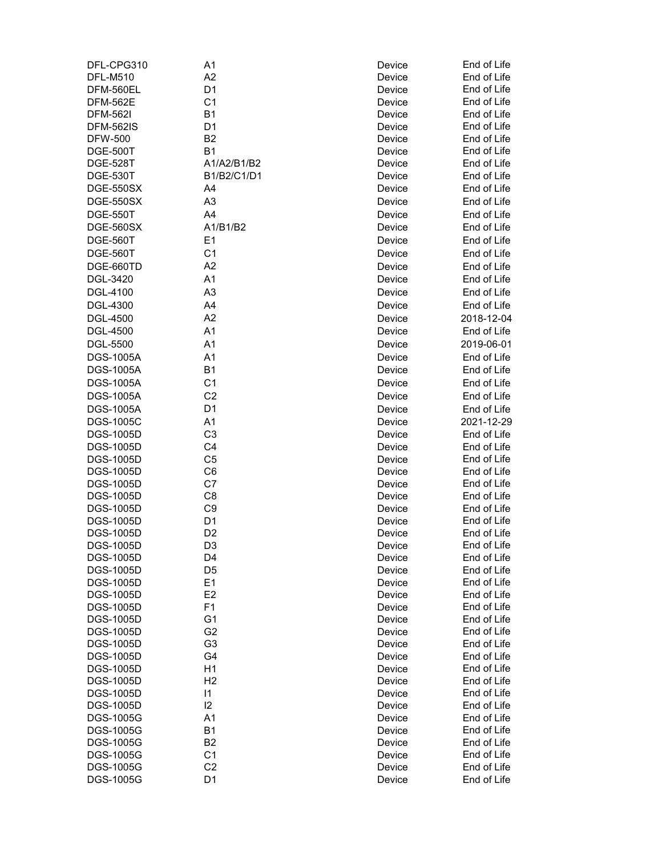| DFL-CPG310       | A1             | Device | End of Life |
|------------------|----------------|--------|-------------|
| <b>DFL-M510</b>  | A2             | Device | End of Life |
| DFM-560EL        | D <sub>1</sub> | Device | End of Life |
| <b>DFM-562E</b>  | C <sub>1</sub> | Device | End of Life |
| <b>DFM-562I</b>  | <b>B1</b>      | Device | End of Life |
| <b>DFM-562IS</b> | D <sub>1</sub> | Device | End of Life |
| <b>DFW-500</b>   | B <sub>2</sub> | Device | End of Life |
| <b>DGE-500T</b>  | <b>B1</b>      | Device | End of Life |
| <b>DGE-528T</b>  | A1/A2/B1/B2    | Device | End of Life |
| <b>DGE-530T</b>  | B1/B2/C1/D1    | Device | End of Life |
| <b>DGE-550SX</b> | A4             | Device | End of Life |
| <b>DGE-550SX</b> | A <sub>3</sub> | Device | End of Life |
| <b>DGE-550T</b>  | A4             | Device | End of Life |
| <b>DGE-560SX</b> | A1/B1/B2       | Device | End of Life |
| <b>DGE-560T</b>  | E1             | Device | End of Life |
|                  |                |        |             |
| <b>DGE-560T</b>  | C <sub>1</sub> | Device | End of Life |
| DGE-660TD        | A2             | Device | End of Life |
| DGL-3420         | A1             | Device | End of Life |
| DGL-4100         | A <sub>3</sub> | Device | End of Life |
| <b>DGL-4300</b>  | A4             | Device | End of Life |
| <b>DGL-4500</b>  | A2             | Device | 2018-12-04  |
| <b>DGL-4500</b>  | A1             | Device | End of Life |
| <b>DGL-5500</b>  | A1             | Device | 2019-06-01  |
| <b>DGS-1005A</b> | A1             | Device | End of Life |
| <b>DGS-1005A</b> | <b>B1</b>      | Device | End of Life |
| <b>DGS-1005A</b> | C <sub>1</sub> | Device | End of Life |
| <b>DGS-1005A</b> | C <sub>2</sub> | Device | End of Life |
| <b>DGS-1005A</b> | D <sub>1</sub> | Device | End of Life |
| <b>DGS-1005C</b> | A1             |        | 2021-12-29  |
|                  | C <sub>3</sub> | Device | End of Life |
| <b>DGS-1005D</b> |                | Device |             |
| <b>DGS-1005D</b> | C4             | Device | End of Life |
| <b>DGS-1005D</b> | C <sub>5</sub> | Device | End of Life |
| DGS-1005D        | C <sub>6</sub> | Device | End of Life |
| <b>DGS-1005D</b> | C7             | Device | End of Life |
| DGS-1005D        | C <sub>8</sub> | Device | End of Life |
| <b>DGS-1005D</b> | C <sub>9</sub> | Device | End of Life |
| <b>DGS-1005D</b> | D <sub>1</sub> | Device | End of Life |
| <b>DGS-1005D</b> | D <sub>2</sub> | Device | End of Life |
| DGS-1005D        | D <sub>3</sub> | Device | End of Life |
| <b>DGS-1005D</b> | D4             | Device | End of Life |
| <b>DGS-1005D</b> | D <sub>5</sub> | Device | End of Life |
| <b>DGS-1005D</b> | E <sub>1</sub> | Device | End of Life |
| DGS-1005D        | E <sub>2</sub> | Device | End of Life |
| DGS-1005D        | F1             | Device | End of Life |
| <b>DGS-1005D</b> | G <sub>1</sub> | Device | End of Life |
| <b>DGS-1005D</b> | G <sub>2</sub> | Device | End of Life |
| <b>DGS-1005D</b> | G <sub>3</sub> | Device | End of Life |
| <b>DGS-1005D</b> | G4             | Device | End of Life |
| <b>DGS-1005D</b> | H1             | Device | End of Life |
| <b>DGS-1005D</b> | H <sub>2</sub> | Device | End of Life |
| <b>DGS-1005D</b> | 1              | Device | End of Life |
| <b>DGS-1005D</b> | 12             | Device | End of Life |
| DGS-1005G        | A1             | Device | End of Life |
| DGS-1005G        | <b>B1</b>      | Device | End of Life |
| DGS-1005G        | B <sub>2</sub> | Device | End of Life |
| DGS-1005G        | C <sub>1</sub> | Device | End of Life |
| DGS-1005G        | C <sub>2</sub> | Device | End of Life |
| DGS-1005G        | D <sub>1</sub> | Device | End of Life |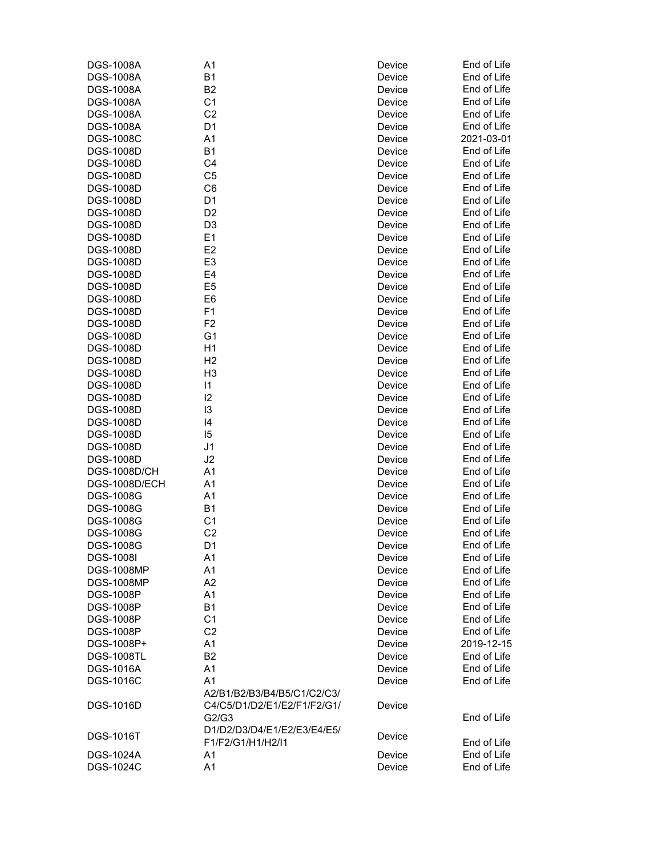| <b>DGS-1008A</b>    | A1                          | Device | End of Life |
|---------------------|-----------------------------|--------|-------------|
| <b>DGS-1008A</b>    | <b>B1</b>                   | Device | End of Life |
| <b>DGS-1008A</b>    | B <sub>2</sub>              | Device | End of Life |
| DGS-1008A           | C <sub>1</sub>              | Device | End of Life |
| <b>DGS-1008A</b>    | C <sub>2</sub>              | Device | End of Life |
| <b>DGS-1008A</b>    | D <sub>1</sub>              | Device | End of Life |
| <b>DGS-1008C</b>    | A1                          | Device | 2021-03-01  |
| <b>DGS-1008D</b>    | B1                          | Device | End of Life |
| <b>DGS-1008D</b>    | C4                          | Device | End of Life |
| <b>DGS-1008D</b>    | C <sub>5</sub>              | Device | End of Life |
| <b>DGS-1008D</b>    | C6                          | Device | End of Life |
| <b>DGS-1008D</b>    | D <sub>1</sub>              | Device | End of Life |
| <b>DGS-1008D</b>    | D <sub>2</sub>              | Device | End of Life |
| DGS-1008D           | D <sub>3</sub>              | Device | End of Life |
| <b>DGS-1008D</b>    | E1                          | Device | End of Life |
| <b>DGS-1008D</b>    | E <sub>2</sub>              | Device | End of Life |
|                     | E <sub>3</sub>              |        | End of Life |
| <b>DGS-1008D</b>    |                             | Device |             |
| <b>DGS-1008D</b>    | E4                          | Device | End of Life |
| <b>DGS-1008D</b>    | E <sub>5</sub>              | Device | End of Life |
| <b>DGS-1008D</b>    | E <sub>6</sub>              | Device | End of Life |
| <b>DGS-1008D</b>    | F <sub>1</sub>              | Device | End of Life |
| <b>DGS-1008D</b>    | F <sub>2</sub>              | Device | End of Life |
| <b>DGS-1008D</b>    | G <sub>1</sub>              | Device | End of Life |
| DGS-1008D           | H1                          | Device | End of Life |
| <b>DGS-1008D</b>    | H <sub>2</sub>              | Device | End of Life |
| <b>DGS-1008D</b>    | H <sub>3</sub>              | Device | End of Life |
| <b>DGS-1008D</b>    | 1                           | Device | End of Life |
| <b>DGS-1008D</b>    | 12                          | Device | End of Life |
| <b>DGS-1008D</b>    | 13                          | Device | End of Life |
| <b>DGS-1008D</b>    | 14                          | Device | End of Life |
| <b>DGS-1008D</b>    | 15                          | Device | End of Life |
| <b>DGS-1008D</b>    | J1                          | Device | End of Life |
| <b>DGS-1008D</b>    | J2                          | Device | End of Life |
| <b>DGS-1008D/CH</b> | A1                          | Device | End of Life |
| DGS-1008D/ECH       | A1                          | Device | End of Life |
| <b>DGS-1008G</b>    | A1                          | Device | End of Life |
| <b>DGS-1008G</b>    | B <sub>1</sub>              | Device | End of Life |
| <b>DGS-1008G</b>    | C <sub>1</sub>              | Device | End of Life |
| <b>DGS-1008G</b>    | C <sub>2</sub>              | Device | End of Life |
| DGS-1008G           | D1                          | Device | End of Life |
| <b>DGS-1008I</b>    | A1                          | Device | End of Life |
| <b>DGS-1008MP</b>   | A1                          | Device | End of Life |
| <b>DGS-1008MP</b>   | A2                          | Device | End of Life |
| <b>DGS-1008P</b>    | A1                          | Device | End of Life |
| <b>DGS-1008P</b>    | <b>B1</b>                   | Device | End of Life |
| <b>DGS-1008P</b>    | C <sub>1</sub>              | Device | End of Life |
| <b>DGS-1008P</b>    | C <sub>2</sub>              | Device | End of Life |
| DGS-1008P+          | A1                          | Device | 2019-12-15  |
| <b>DGS-1008TL</b>   | <b>B2</b>                   | Device | End of Life |
| <b>DGS-1016A</b>    | A1                          | Device | End of Life |
| <b>DGS-1016C</b>    | A1                          | Device | End of Life |
|                     | A2/B1/B2/B3/B4/B5/C1/C2/C3/ |        |             |
| <b>DGS-1016D</b>    | C4/C5/D1/D2/E1/E2/F1/F2/G1/ | Device |             |
|                     | G2/G3                       |        | End of Life |
|                     | D1/D2/D3/D4/E1/E2/E3/E4/E5/ |        |             |
| <b>DGS-1016T</b>    | F1/F2/G1/H1/H2/I1           | Device | End of Life |
| DGS-1024A           | A1                          | Device | End of Life |
| <b>DGS-1024C</b>    | A1                          | Device | End of Life |
|                     |                             |        |             |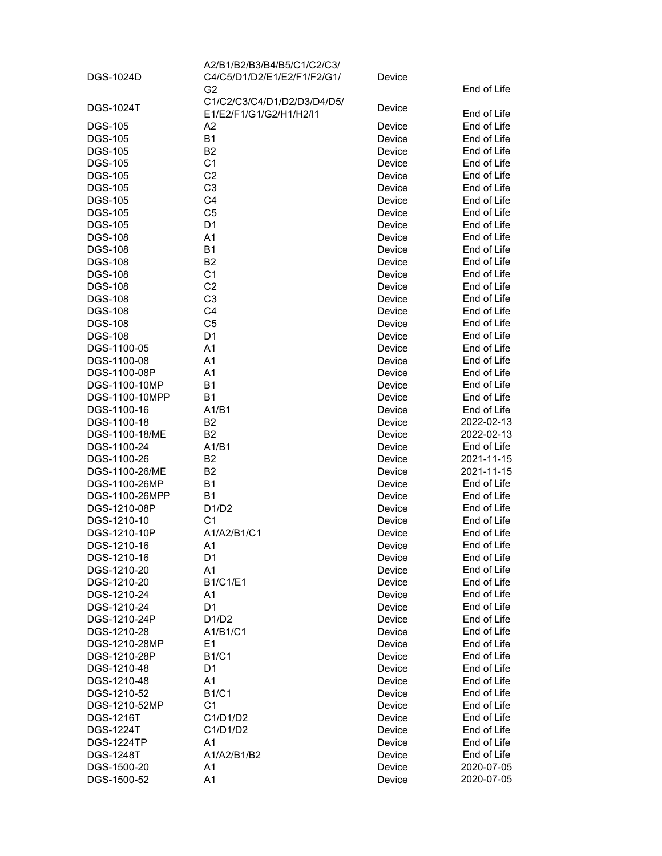|                               | A2/B1/B2/B3/B4/B5/C1/C2/C3/                   |                  |                            |
|-------------------------------|-----------------------------------------------|------------------|----------------------------|
| DGS-1024D                     | C4/C5/D1/D2/E1/E2/F1/F2/G1/                   | Device           |                            |
|                               | G <sub>2</sub><br>C1/C2/C3/C4/D1/D2/D3/D4/D5/ |                  | End of Life                |
| <b>DGS-1024T</b>              | E1/E2/F1/G1/G2/H1/H2/I1                       | Device           | End of Life                |
| <b>DGS-105</b>                | A2                                            | Device           | End of Life                |
| <b>DGS-105</b>                | <b>B1</b>                                     | Device           | End of Life                |
| <b>DGS-105</b>                | B <sub>2</sub>                                | Device           | End of Life                |
| <b>DGS-105</b>                | C <sub>1</sub>                                | Device           | End of Life                |
| <b>DGS-105</b>                | C <sub>2</sub>                                | Device           | End of Life                |
| <b>DGS-105</b>                | C <sub>3</sub>                                | Device           | End of Life                |
| <b>DGS-105</b>                | C <sub>4</sub>                                | Device           | End of Life                |
| <b>DGS-105</b>                | C <sub>5</sub>                                | Device           | End of Life                |
| <b>DGS-105</b>                | D <sub>1</sub>                                | Device           | End of Life                |
| <b>DGS-108</b>                | A1                                            | Device           | End of Life                |
| <b>DGS-108</b>                | <b>B1</b>                                     | Device           | End of Life                |
| <b>DGS-108</b>                | B <sub>2</sub>                                | Device           | End of Life                |
| <b>DGS-108</b>                | C <sub>1</sub>                                | Device           | End of Life                |
| <b>DGS-108</b>                | C <sub>2</sub>                                | Device           | End of Life                |
| <b>DGS-108</b>                | C <sub>3</sub>                                | Device           | End of Life                |
| <b>DGS-108</b>                | C <sub>4</sub>                                | Device           | End of Life                |
| <b>DGS-108</b>                | C <sub>5</sub>                                | Device           | End of Life                |
| <b>DGS-108</b>                | D <sub>1</sub>                                | Device           | End of Life                |
| DGS-1100-05                   | A1                                            | Device           | End of Life                |
| DGS-1100-08                   | A1                                            | Device           | End of Life<br>End of Life |
| DGS-1100-08P<br>DGS-1100-10MP | A1<br><b>B1</b>                               | Device           | End of Life                |
| DGS-1100-10MPP                | <b>B1</b>                                     | Device           | End of Life                |
| DGS-1100-16                   | A1/B1                                         | Device<br>Device | End of Life                |
| DGS-1100-18                   | B <sub>2</sub>                                | Device           | 2022-02-13                 |
| DGS-1100-18/ME                | <b>B2</b>                                     | Device           | 2022-02-13                 |
| DGS-1100-24                   | A1/B1                                         | Device           | End of Life                |
| DGS-1100-26                   | <b>B2</b>                                     | Device           | 2021-11-15                 |
| DGS-1100-26/ME                | <b>B2</b>                                     | Device           | 2021-11-15                 |
| DGS-1100-26MP                 | <b>B1</b>                                     | Device           | End of Life                |
| DGS-1100-26MPP                | <b>B1</b>                                     | Device           | End of Life                |
| DGS-1210-08P                  | D1/D2                                         | Device           | End of Life                |
| DGS-1210-10                   | C <sub>1</sub>                                | Device           | End of Life                |
| DGS-1210-10P                  | A1/A2/B1/C1                                   | Device           | End of Life                |
| DGS-1210-16                   | A1                                            | Device           | End of Life                |
| DGS-1210-16                   | D <sub>1</sub>                                | Device           | End of Life                |
| DGS-1210-20                   | A1                                            | Device           | End of Life                |
| DGS-1210-20                   | <b>B1/C1/E1</b>                               | Device           | End of Life                |
| DGS-1210-24                   | A1                                            | Device           | End of Life                |
| DGS-1210-24                   | D <sub>1</sub>                                | Device           | End of Life                |
| DGS-1210-24P                  | D1/D2                                         | Device           | End of Life                |
| DGS-1210-28                   | A1/B1/C1                                      | Device           | End of Life                |
| DGS-1210-28MP                 | E <sub>1</sub>                                | Device           | End of Life                |
| DGS-1210-28P                  | <b>B1/C1</b>                                  | Device           | End of Life                |
| DGS-1210-48                   | D <sub>1</sub>                                | Device           | End of Life                |
| DGS-1210-48                   | A1                                            | Device           | End of Life                |
| DGS-1210-52                   | <b>B1/C1</b>                                  | Device           | End of Life                |
| DGS-1210-52MP                 | C <sub>1</sub>                                | Device           | End of Life                |
| <b>DGS-1216T</b>              | C1/D1/D2                                      | Device           | End of Life                |
| <b>DGS-1224T</b>              | C1/D1/D2                                      | Device           | End of Life                |
| <b>DGS-1224TP</b>             | A1                                            | Device           | End of Life                |
| <b>DGS-1248T</b>              | A1/A2/B1/B2                                   | Device           | End of Life                |
| DGS-1500-20                   | A1                                            | Device           | 2020-07-05                 |
| DGS-1500-52                   | A1                                            | Device           | 2020-07-05                 |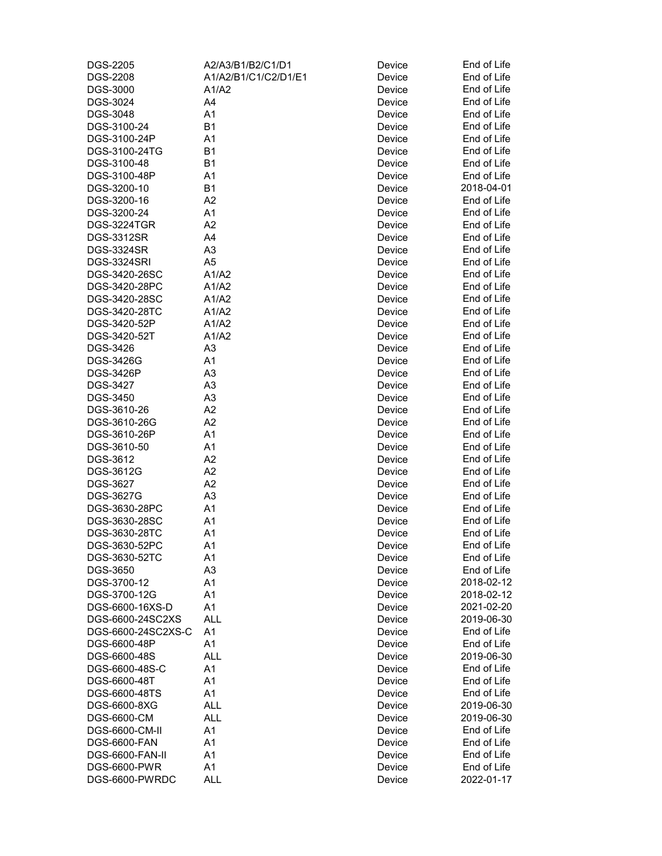| <b>DGS-2205</b>     | A2/A3/B1/B2/C1/D1    | Device | End of Life |
|---------------------|----------------------|--------|-------------|
| <b>DGS-2208</b>     | A1/A2/B1/C1/C2/D1/E1 | Device | End of Life |
| DGS-3000            | A1/A2                | Device | End of Life |
| DGS-3024            | A4                   | Device | End of Life |
| DGS-3048            | A1                   | Device | End of Life |
| DGS-3100-24         | <b>B1</b>            | Device | End of Life |
| DGS-3100-24P        | A1                   | Device | End of Life |
| DGS-3100-24TG       | <b>B1</b>            | Device | End of Life |
| DGS-3100-48         | <b>B1</b>            | Device | End of Life |
| DGS-3100-48P        | A1                   | Device | End of Life |
| DGS-3200-10         | <b>B1</b>            | Device | 2018-04-01  |
| DGS-3200-16         | A2                   | Device | End of Life |
| DGS-3200-24         | A1                   | Device | End of Life |
| DGS-3224TGR         | A2                   | Device | End of Life |
| <b>DGS-3312SR</b>   | A4                   | Device | End of Life |
| <b>DGS-3324SR</b>   | A <sub>3</sub>       | Device | End of Life |
| <b>DGS-3324SRI</b>  | A <sub>5</sub>       | Device | End of Life |
| DGS-3420-26SC       | A1/A2                | Device | End of Life |
| DGS-3420-28PC       | A1/A2                | Device | End of Life |
| DGS-3420-28SC       | A1/A2                | Device | End of Life |
| DGS-3420-28TC       | A1/A2                | Device | End of Life |
| DGS-3420-52P        | A1/A2                | Device | End of Life |
| DGS-3420-52T        | A1/A2                | Device | End of Life |
| DGS-3426            | A <sub>3</sub>       | Device | End of Life |
| DGS-3426G           | A1                   | Device | End of Life |
| <b>DGS-3426P</b>    | A <sub>3</sub>       | Device | End of Life |
| DGS-3427            | A <sub>3</sub>       | Device | End of Life |
| DGS-3450            | A <sub>3</sub>       | Device | End of Life |
| DGS-3610-26         | A2                   | Device | End of Life |
| DGS-3610-26G        | A2                   | Device | End of Life |
| DGS-3610-26P        | A1                   | Device | End of Life |
| DGS-3610-50         | A1                   | Device | End of Life |
| DGS-3612            | A2                   | Device | End of Life |
| DGS-3612G           | A2                   | Device | End of Life |
| DGS-3627            | A2                   | Device | End of Life |
| DGS-3627G           | A <sub>3</sub>       | Device | End of Life |
| DGS-3630-28PC       | A1                   | Device | End of Life |
| DGS-3630-28SC       | A1                   | Device | End of Life |
| DGS-3630-28TC       | A1                   | Device | End of Life |
| DGS-3630-52PC       | A1                   | Device | End of Life |
| DGS-3630-52TC       | A1                   | Device | End of Life |
| <b>DGS-3650</b>     | A <sub>3</sub>       | Device | End of Life |
| DGS-3700-12         | A1                   | Device | 2018-02-12  |
| DGS-3700-12G        | A1                   | Device | 2018-02-12  |
| DGS-6600-16XS-D     | A1                   | Device | 2021-02-20  |
| DGS-6600-24SC2XS    | <b>ALL</b>           | Device | 2019-06-30  |
| DGS-6600-24SC2XS-C  | A <sub>1</sub>       | Device | End of Life |
| DGS-6600-48P        | A1                   | Device | End of Life |
| DGS-6600-48S        | <b>ALL</b>           | Device | 2019-06-30  |
| DGS-6600-48S-C      | A1                   | Device | End of Life |
| DGS-6600-48T        | A1                   | Device | End of Life |
| DGS-6600-48TS       | A1                   | Device | End of Life |
| DGS-6600-8XG        | <b>ALL</b>           | Device | 2019-06-30  |
| DGS-6600-CM         | <b>ALL</b>           | Device | 2019-06-30  |
| DGS-6600-CM-II      | A1                   | Device | End of Life |
| <b>DGS-6600-FAN</b> | A1                   | Device | End of Life |
| DGS-6600-FAN-II     | A1                   | Device | End of Life |
| DGS-6600-PWR        | A1                   | Device | End of Life |
| DGS-6600-PWRDC      | <b>ALL</b>           | Device | 2022-01-17  |
|                     |                      |        |             |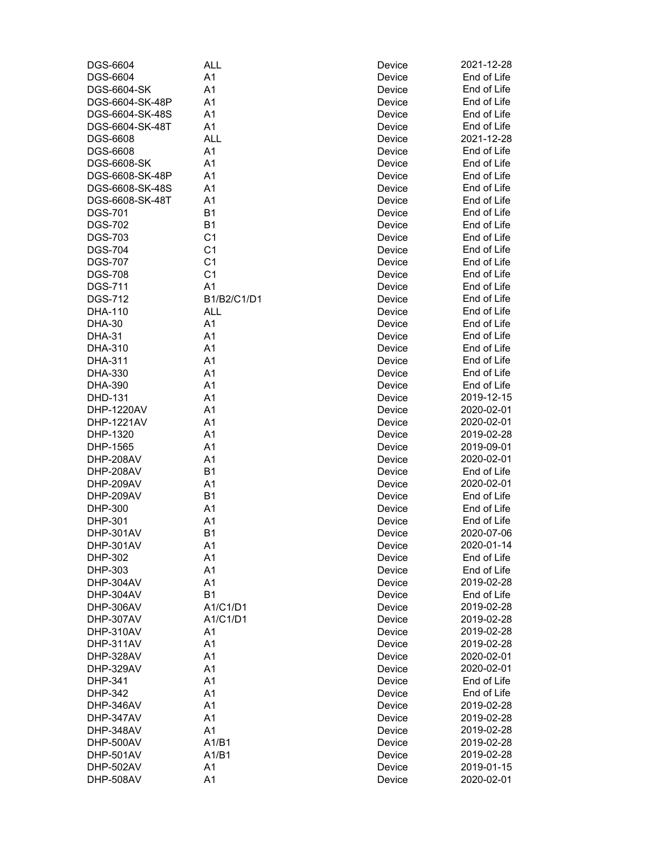| DGS-6604                         | <b>ALL</b>     | Device | 2021-12-28  |
|----------------------------------|----------------|--------|-------------|
| DGS-6604                         | A <sub>1</sub> | Device | End of Life |
| DGS-6604-SK                      | A <sub>1</sub> | Device | End of Life |
| DGS-6604-SK-48P                  | A1             | Device | End of Life |
| DGS-6604-SK-48S                  | A1             | Device | End of Life |
| DGS-6604-SK-48T                  | A <sub>1</sub> | Device | End of Life |
| DGS-6608                         | <b>ALL</b>     | Device | 2021-12-28  |
| DGS-6608                         | A <sub>1</sub> | Device | End of Life |
| DGS-6608-SK                      | A1             | Device | End of Life |
| DGS-6608-SK-48P                  | A1             | Device | End of Life |
| DGS-6608-SK-48S                  | A1             | Device | End of Life |
| DGS-6608-SK-48T                  | A1             | Device | End of Life |
| <b>DGS-701</b>                   | <b>B1</b>      | Device | End of Life |
| <b>DGS-702</b>                   | <b>B1</b>      | Device | End of Life |
| <b>DGS-703</b>                   | C <sub>1</sub> | Device | End of Life |
| <b>DGS-704</b>                   | C <sub>1</sub> | Device | End of Life |
| <b>DGS-707</b>                   | C <sub>1</sub> | Device | End of Life |
|                                  | C <sub>1</sub> |        | End of Life |
| <b>DGS-708</b><br><b>DGS-711</b> | A1             | Device | End of Life |
|                                  |                | Device |             |
| <b>DGS-712</b>                   | B1/B2/C1/D1    | Device | End of Life |
| DHA-110                          | <b>ALL</b>     | Device | End of Life |
| <b>DHA-30</b>                    | A <sub>1</sub> | Device | End of Life |
| <b>DHA-31</b>                    | A <sub>1</sub> | Device | End of Life |
| DHA-310                          | A <sub>1</sub> | Device | End of Life |
| DHA-311                          | A <sub>1</sub> | Device | End of Life |
| DHA-330                          | A <sub>1</sub> | Device | End of Life |
| DHA-390                          | A <sub>1</sub> | Device | End of Life |
| DHD-131                          | A <sub>1</sub> | Device | 2019-12-15  |
| DHP-1220AV                       | A1             | Device | 2020-02-01  |
| DHP-1221AV                       | A1             | Device | 2020-02-01  |
| DHP-1320                         | A1             | Device | 2019-02-28  |
| DHP-1565                         | A <sub>1</sub> | Device | 2019-09-01  |
| DHP-208AV                        | A <sub>1</sub> | Device | 2020-02-01  |
| DHP-208AV                        | <b>B1</b>      | Device | End of Life |
| DHP-209AV                        | A <sub>1</sub> | Device | 2020-02-01  |
| DHP-209AV                        | <b>B1</b>      | Device | End of Life |
| DHP-300                          | A <sub>1</sub> | Device | End of Life |
| DHP-301                          | A <sub>1</sub> | Device | End of Life |
| DHP-301AV                        | B <sub>1</sub> | Device | 2020-07-06  |
| DHP-301AV                        | A1             | Device | 2020-01-14  |
| DHP-302                          | A1             | Device | End of Life |
| DHP-303                          | A1             | Device | End of Life |
| DHP-304AV                        | A1             | Device | 2019-02-28  |
| DHP-304AV                        | <b>B1</b>      | Device | End of Life |
| DHP-306AV                        | A1/C1/D1       | Device | 2019-02-28  |
| DHP-307AV                        | A1/C1/D1       | Device | 2019-02-28  |
| DHP-310AV                        | A1             | Device | 2019-02-28  |
| DHP-311AV                        | A1             | Device | 2019-02-28  |
| DHP-328AV                        | A1             | Device | 2020-02-01  |
| DHP-329AV                        | A1             | Device | 2020-02-01  |
| DHP-341                          | A1             | Device | End of Life |
| DHP-342                          | A <sub>1</sub> | Device | End of Life |
| DHP-346AV                        | A <sub>1</sub> | Device | 2019-02-28  |
| DHP-347AV                        | A1             | Device | 2019-02-28  |
| DHP-348AV                        | A1             | Device | 2019-02-28  |
| DHP-500AV                        | A1/B1          | Device | 2019-02-28  |
| DHP-501AV                        | A1/B1          | Device | 2019-02-28  |
| DHP-502AV                        | A1             | Device | 2019-01-15  |
| DHP-508AV                        | A1             | Device | 2020-02-01  |
|                                  |                |        |             |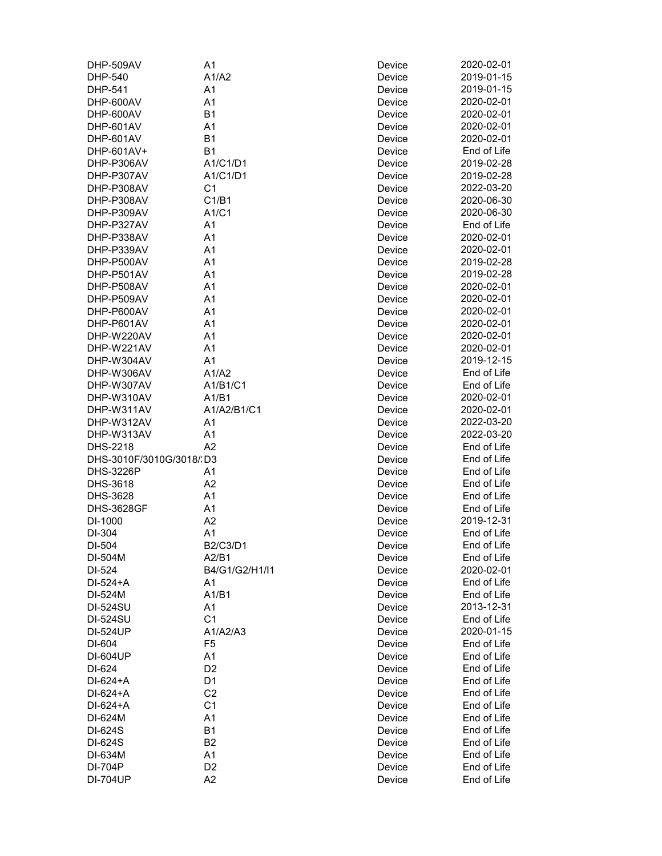| DHP-509AV                | A1             | Device | 2020-02-01  |
|--------------------------|----------------|--------|-------------|
| DHP-540                  | A1/A2          | Device | 2019-01-15  |
| DHP-541                  | A1             | Device | 2019-01-15  |
| DHP-600AV                | A <sub>1</sub> | Device | 2020-02-01  |
| DHP-600AV                | B <sub>1</sub> | Device | 2020-02-01  |
| DHP-601AV                | A1             | Device | 2020-02-01  |
| DHP-601AV                | B <sub>1</sub> | Device | 2020-02-01  |
| DHP-601AV+               | B <sub>1</sub> | Device | End of Life |
| DHP-P306AV               | A1/C1/D1       |        | 2019-02-28  |
|                          |                | Device | 2019-02-28  |
| DHP-P307AV               | A1/C1/D1       | Device |             |
| DHP-P308AV               | C <sub>1</sub> | Device | 2022-03-20  |
| DHP-P308AV               | C1/B1          | Device | 2020-06-30  |
| DHP-P309AV               | A1/C1          | Device | 2020-06-30  |
| DHP-P327AV               | A1             | Device | End of Life |
| DHP-P338AV               | A <sub>1</sub> | Device | 2020-02-01  |
| DHP-P339AV               | A1             | Device | 2020-02-01  |
| DHP-P500AV               | A1             | Device | 2019-02-28  |
| DHP-P501AV               | A <sub>1</sub> | Device | 2019-02-28  |
| DHP-P508AV               | A <sub>1</sub> | Device | 2020-02-01  |
| DHP-P509AV               | A <sub>1</sub> | Device | 2020-02-01  |
| DHP-P600AV               | A1             | Device | 2020-02-01  |
| DHP-P601AV               | A1             | Device | 2020-02-01  |
| DHP-W220AV               | A1             | Device | 2020-02-01  |
| DHP-W221AV               | A <sub>1</sub> | Device | 2020-02-01  |
| DHP-W304AV               | A <sub>1</sub> | Device | 2019-12-15  |
| DHP-W306AV               | A1/A2          | Device | End of Life |
| DHP-W307AV               | A1/B1/C1       | Device | End of Life |
| DHP-W310AV               | A1/B1          | Device | 2020-02-01  |
| DHP-W311AV               | A1/A2/B1/C1    |        | 2020-02-01  |
|                          |                | Device |             |
| DHP-W312AV               | A1             | Device | 2022-03-20  |
| DHP-W313AV               | A1             | Device | 2022-03-20  |
| DHS-2218                 | A <sub>2</sub> | Device | End of Life |
| DHS-3010F/3010G/3018/ D3 |                | Device | End of Life |
| <b>DHS-3226P</b>         | A1             | Device | End of Life |
| DHS-3618                 | A2             | Device | End of Life |
| DHS-3628                 | A1             | Device | End of Life |
| <b>DHS-3628GF</b>        | A1             | Device | End of Life |
| DI-1000                  | A2             | Device | 2019-12-31  |
| DI-304                   | A <sub>1</sub> | Device | End of Life |
| DI-504                   | B2/C3/D1       | Device | End of Life |
| DI-504M                  | A2/B1          | Device | End of Life |
| DI-524                   | B4/G1/G2/H1/I1 | Device | 2020-02-01  |
| DI-524+A                 | A1             | Device | End of Life |
| DI-524M                  | A1/B1          | Device | End of Life |
| DI-524SU                 | A1             | Device | 2013-12-31  |
| DI-524SU                 | C <sub>1</sub> | Device | End of Life |
| DI-524UP                 | A1/A2/A3       | Device | 2020-01-15  |
| DI-604                   | F <sub>5</sub> | Device | End of Life |
| DI-604UP                 | A1             | Device | End of Life |
|                          | D <sub>2</sub> |        | End of Life |
| DI-624                   |                | Device |             |
| DI-624+A                 | D <sub>1</sub> | Device | End of Life |
| DI-624+A                 | C <sub>2</sub> | Device | End of Life |
| DI-624+A                 | C <sub>1</sub> | Device | End of Life |
| DI-624M                  | A1             | Device | End of Life |
| DI-624S                  | <b>B1</b>      | Device | End of Life |
| DI-624S                  | B <sub>2</sub> | Device | End of Life |
| DI-634M                  | A1             | Device | End of Life |
| DI-704P                  | D <sub>2</sub> | Device | End of Life |
| <b>DI-704UP</b>          | A2             | Device | End of Life |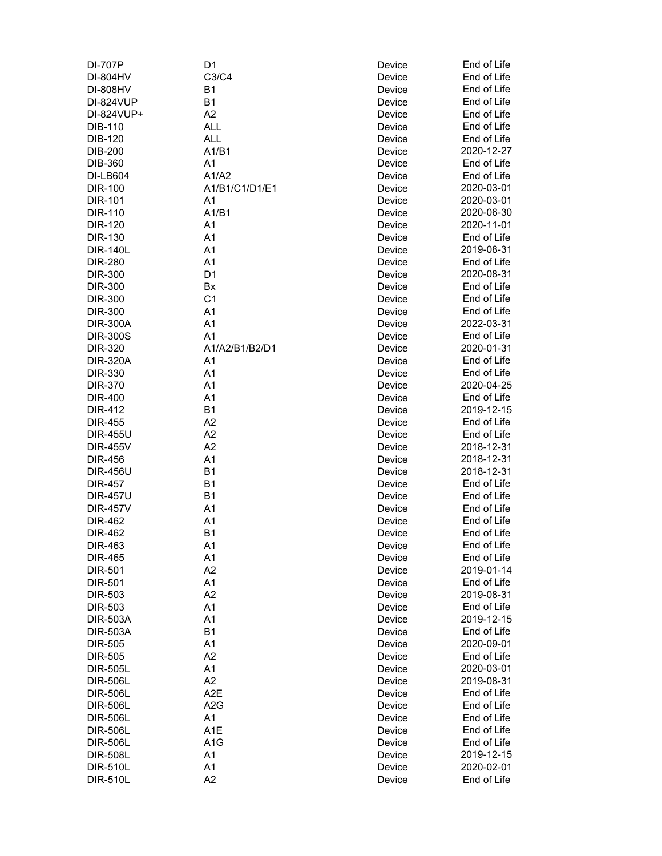| DI-707P          | D <sub>1</sub>   | Device | End of Life |
|------------------|------------------|--------|-------------|
| DI-804HV         | C3/C4            | Device | End of Life |
| <b>DI-808HV</b>  | <b>B1</b>        | Device | End of Life |
| <b>DI-824VUP</b> | B <sub>1</sub>   | Device | End of Life |
| DI-824VUP+       | A2               | Device | End of Life |
| <b>DIB-110</b>   | ALL              | Device | End of Life |
| <b>DIB-120</b>   | <b>ALL</b>       | Device | End of Life |
| <b>DIB-200</b>   | A1/B1            | Device | 2020-12-27  |
| DIB-360          | A1               | Device | End of Life |
| <b>DI-LB604</b>  | A1/A2            | Device | End of Life |
| <b>DIR-100</b>   | A1/B1/C1/D1/E1   | Device | 2020-03-01  |
| <b>DIR-101</b>   | A <sub>1</sub>   | Device | 2020-03-01  |
| DIR-110          | A1/B1            | Device | 2020-06-30  |
| <b>DIR-120</b>   | A <sub>1</sub>   | Device | 2020-11-01  |
| <b>DIR-130</b>   | A <sub>1</sub>   | Device | End of Life |
| <b>DIR-140L</b>  | A <sub>1</sub>   | Device | 2019-08-31  |
| <b>DIR-280</b>   | A <sub>1</sub>   | Device | End of Life |
| <b>DIR-300</b>   | D <sub>1</sub>   | Device | 2020-08-31  |
| <b>DIR-300</b>   | Bx               | Device | End of Life |
| <b>DIR-300</b>   | C <sub>1</sub>   | Device | End of Life |
| <b>DIR-300</b>   | A1               |        | End of Life |
|                  |                  | Device | 2022-03-31  |
| <b>DIR-300A</b>  | A1               | Device |             |
| <b>DIR-300S</b>  | A <sub>1</sub>   | Device | End of Life |
| DIR-320          | A1/A2/B1/B2/D1   | Device | 2020-01-31  |
| <b>DIR-320A</b>  | A <sub>1</sub>   | Device | End of Life |
| DIR-330          | A <sub>1</sub>   | Device | End of Life |
| <b>DIR-370</b>   | A <sub>1</sub>   | Device | 2020-04-25  |
| <b>DIR-400</b>   | A <sub>1</sub>   | Device | End of Life |
| <b>DIR-412</b>   | B <sub>1</sub>   | Device | 2019-12-15  |
| <b>DIR-455</b>   | A2               | Device | End of Life |
| <b>DIR-455U</b>  | A2               | Device | End of Life |
| <b>DIR-455V</b>  | A <sub>2</sub>   | Device | 2018-12-31  |
| <b>DIR-456</b>   | A1               | Device | 2018-12-31  |
| <b>DIR-456U</b>  | B <sub>1</sub>   | Device | 2018-12-31  |
| <b>DIR-457</b>   | <b>B1</b>        | Device | End of Life |
| <b>DIR-457U</b>  | <b>B1</b>        | Device | End of Life |
| <b>DIR-457V</b>  | A <sub>1</sub>   | Device | End of Life |
| <b>DIR-462</b>   | A <sub>1</sub>   | Device | End of Life |
| <b>DIR-462</b>   | B <sub>1</sub>   | Device | End of Life |
| DIR-463          | A <sub>1</sub>   | Device | End of Life |
| <b>DIR-465</b>   | A1               | Device | End of Life |
| <b>DIR-501</b>   | A2               | Device | 2019-01-14  |
| <b>DIR-501</b>   | A1               | Device | End of Life |
| <b>DIR-503</b>   | A2               |        | 2019-08-31  |
|                  |                  | Device |             |
| <b>DIR-503</b>   | A <sub>1</sub>   | Device | End of Life |
| <b>DIR-503A</b>  | A1               | Device | 2019-12-15  |
| <b>DIR-503A</b>  | B <sub>1</sub>   | Device | End of Life |
| <b>DIR-505</b>   | A <sub>1</sub>   | Device | 2020-09-01  |
| <b>DIR-505</b>   | A <sub>2</sub>   | Device | End of Life |
| <b>DIR-505L</b>  | A1               | Device | 2020-03-01  |
| <b>DIR-506L</b>  | A2               | Device | 2019-08-31  |
| <b>DIR-506L</b>  | A <sub>2</sub> E | Device | End of Life |
| <b>DIR-506L</b>  | A <sub>2</sub> G | Device | End of Life |
| <b>DIR-506L</b>  | A <sub>1</sub>   | Device | End of Life |
| <b>DIR-506L</b>  | A <sub>1</sub> E | Device | End of Life |
| <b>DIR-506L</b>  | A <sub>1</sub> G | Device | End of Life |
| <b>DIR-508L</b>  | A1               | Device | 2019-12-15  |
| <b>DIR-510L</b>  | A <sub>1</sub>   | Device | 2020-02-01  |
| <b>DIR-510L</b>  | A <sub>2</sub>   | Device | End of Life |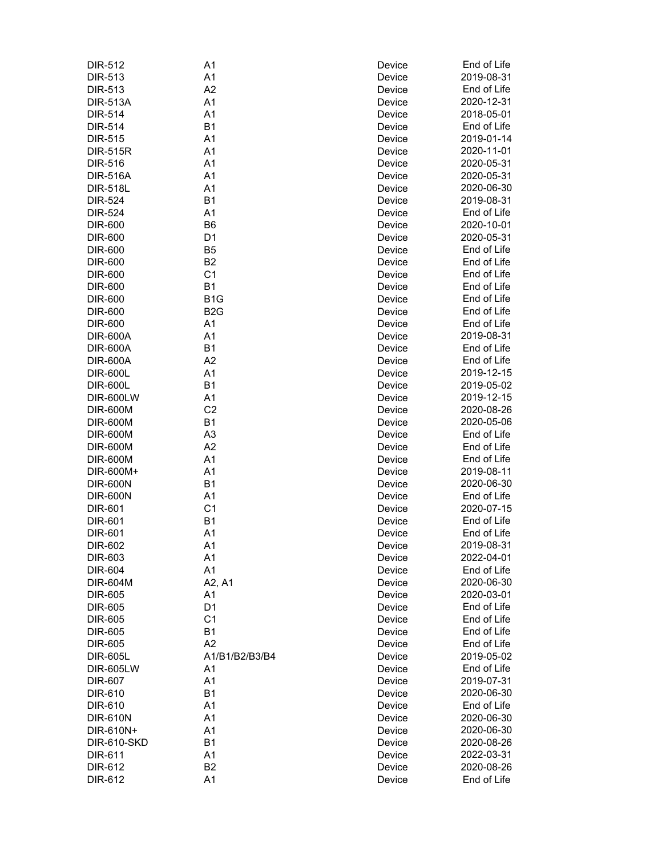| <b>DIR-512</b>     | A1               | Device | End of Life |
|--------------------|------------------|--------|-------------|
| <b>DIR-513</b>     | A1               | Device | 2019-08-31  |
| <b>DIR-513</b>     | A2               | Device | End of Life |
| <b>DIR-513A</b>    | A <sub>1</sub>   | Device | 2020-12-31  |
| <b>DIR-514</b>     | A1               | Device | 2018-05-01  |
| <b>DIR-514</b>     | B1               | Device | End of Life |
| <b>DIR-515</b>     | A <sub>1</sub>   | Device | 2019-01-14  |
| <b>DIR-515R</b>    | A <sub>1</sub>   | Device | 2020-11-01  |
| <b>DIR-516</b>     | A <sub>1</sub>   | Device | 2020-05-31  |
| <b>DIR-516A</b>    | A <sub>1</sub>   |        | 2020-05-31  |
|                    |                  | Device | 2020-06-30  |
| <b>DIR-518L</b>    | A1               | Device |             |
| <b>DIR-524</b>     | B <sub>1</sub>   | Device | 2019-08-31  |
| <b>DIR-524</b>     | A <sub>1</sub>   | Device | End of Life |
| <b>DIR-600</b>     | B <sub>6</sub>   | Device | 2020-10-01  |
| <b>DIR-600</b>     | D <sub>1</sub>   | Device | 2020-05-31  |
| DIR-600            | B <sub>5</sub>   | Device | End of Life |
| <b>DIR-600</b>     | B <sub>2</sub>   | Device | End of Life |
| <b>DIR-600</b>     | C <sub>1</sub>   | Device | End of Life |
| <b>DIR-600</b>     | <b>B1</b>        | Device | End of Life |
| <b>DIR-600</b>     | B <sub>1</sub> G | Device | End of Life |
| DIR-600            | B <sub>2</sub> G | Device | End of Life |
| <b>DIR-600</b>     | A <sub>1</sub>   | Device | End of Life |
| <b>DIR-600A</b>    | A <sub>1</sub>   | Device | 2019-08-31  |
| <b>DIR-600A</b>    | B <sub>1</sub>   | Device | End of Life |
| <b>DIR-600A</b>    | A2               | Device | End of Life |
| <b>DIR-600L</b>    | A1               | Device | 2019-12-15  |
| <b>DIR-600L</b>    | B1               | Device | 2019-05-02  |
| <b>DIR-600LW</b>   | A1               | Device | 2019-12-15  |
| <b>DIR-600M</b>    | C <sub>2</sub>   | Device | 2020-08-26  |
|                    | <b>B1</b>        |        | 2020-05-06  |
| <b>DIR-600M</b>    | A <sub>3</sub>   | Device |             |
| <b>DIR-600M</b>    |                  | Device | End of Life |
| <b>DIR-600M</b>    | A <sub>2</sub>   | Device | End of Life |
| <b>DIR-600M</b>    | A <sub>1</sub>   | Device | End of Life |
| DIR-600M+          | A1               | Device | 2019-08-11  |
| <b>DIR-600N</b>    | B1               | Device | 2020-06-30  |
| <b>DIR-600N</b>    | A1               | Device | End of Life |
| <b>DIR-601</b>     | C <sub>1</sub>   | Device | 2020-07-15  |
| <b>DIR-601</b>     | B <sub>1</sub>   | Device | End of Life |
| <b>DIR-601</b>     | A <sub>1</sub>   | Device | End of Life |
| DIR-602            | A1               | Device | 2019-08-31  |
| DIR-603            | A1               | Device | 2022-04-01  |
| <b>DIR-604</b>     | A1               | Device | End of Life |
| DIR-604M           | A2, A1           | Device | 2020-06-30  |
| DIR-605            | A1               | Device | 2020-03-01  |
| DIR-605            | D <sub>1</sub>   | Device | End of Life |
| DIR-605            | C <sub>1</sub>   | Device | End of Life |
| DIR-605            | <b>B1</b>        | Device | End of Life |
| DIR-605            | A2               | Device | End of Life |
| <b>DIR-605L</b>    | A1/B1/B2/B3/B4   | Device | 2019-05-02  |
| <b>DIR-605LW</b>   | A <sub>1</sub>   | Device | End of Life |
| <b>DIR-607</b>     | A1               | Device | 2019-07-31  |
|                    | <b>B1</b>        |        | 2020-06-30  |
| DIR-610            |                  | Device |             |
| DIR-610            | A <sub>1</sub>   | Device | End of Life |
| <b>DIR-610N</b>    | A <sub>1</sub>   | Device | 2020-06-30  |
| DIR-610N+          | A1               | Device | 2020-06-30  |
| <b>DIR-610-SKD</b> | B <sub>1</sub>   | Device | 2020-08-26  |
| DIR-611            | A1               | Device | 2022-03-31  |
| DIR-612            | B <sub>2</sub>   | Device | 2020-08-26  |
| DIR-612            | A <sub>1</sub>   | Device | End of Life |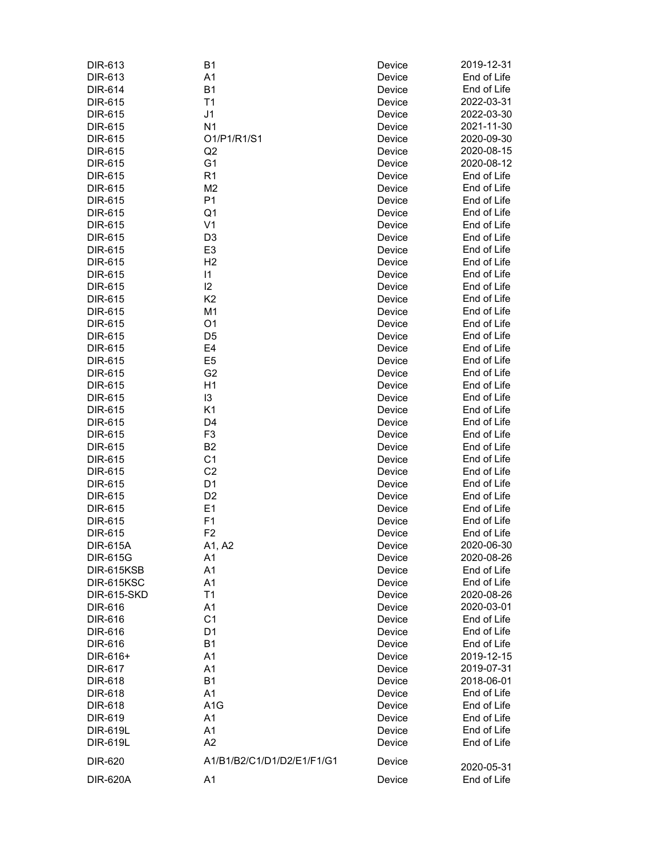| DIR-613            | <b>B1</b>                  | Device | 2019-12-31  |
|--------------------|----------------------------|--------|-------------|
| DIR-613            | A1                         | Device | End of Life |
| <b>DIR-614</b>     | <b>B1</b>                  | Device | End of Life |
| DIR-615            | T1                         | Device | 2022-03-31  |
| DIR-615            | J <sub>1</sub>             | Device | 2022-03-30  |
| DIR-615            | N <sub>1</sub>             | Device | 2021-11-30  |
| <b>DIR-615</b>     | 01/P1/R1/S1                | Device | 2020-09-30  |
| DIR-615            | Q2                         | Device | 2020-08-15  |
| DIR-615            | G <sub>1</sub>             | Device | 2020-08-12  |
| DIR-615            | R <sub>1</sub>             | Device | End of Life |
| DIR-615            | M <sub>2</sub>             | Device | End of Life |
| <b>DIR-615</b>     | P <sub>1</sub>             | Device | End of Life |
| <b>DIR-615</b>     | Q1                         | Device | End of Life |
| DIR-615            | V <sub>1</sub>             | Device | End of Life |
| DIR-615            | D <sub>3</sub>             | Device | End of Life |
| DIR-615            | E <sub>3</sub>             | Device | End of Life |
| DIR-615            | H <sub>2</sub>             | Device | End of Life |
| DIR-615            | $\vert$ 1                  | Device | End of Life |
| DIR-615            | 12                         | Device | End of Life |
| <b>DIR-615</b>     | K <sub>2</sub>             | Device | End of Life |
| DIR-615            | M <sub>1</sub>             | Device | End of Life |
| DIR-615            | O <sub>1</sub>             | Device | End of Life |
| DIR-615            | D <sub>5</sub>             | Device | End of Life |
| DIR-615            | E4                         | Device | End of Life |
| DIR-615            | E <sub>5</sub>             | Device | End of Life |
| DIR-615            | G <sub>2</sub>             | Device | End of Life |
| DIR-615            | H1                         | Device | End of Life |
| DIR-615            | 13                         | Device | End of Life |
| DIR-615            | K <sub>1</sub>             | Device | End of Life |
| DIR-615            | D <sub>4</sub>             | Device | End of Life |
| DIR-615            | F <sub>3</sub>             | Device | End of Life |
| DIR-615            | B <sub>2</sub>             | Device | End of Life |
| DIR-615            | C <sub>1</sub>             | Device | End of Life |
| DIR-615            | C <sub>2</sub>             | Device | End of Life |
| DIR-615            | D <sub>1</sub>             | Device | End of Life |
| DIR-615            | D <sub>2</sub>             | Device | End of Life |
| DIR-615            | E <sub>1</sub>             | Device | End of Life |
| DIR-615            | F1                         | Device | End of Life |
| DIR-615            | F <sub>2</sub>             | Device | End of Life |
| <b>DIR-615A</b>    | A1, A2                     | Device | 2020-06-30  |
| <b>DIR-615G</b>    | A1                         | Device | 2020-08-26  |
| DIR-615KSB         | A1                         | Device | End of Life |
| DIR-615KSC         | A1                         | Device | End of Life |
| <b>DIR-615-SKD</b> | T1                         | Device | 2020-08-26  |
| DIR-616            | A <sub>1</sub>             | Device | 2020-03-01  |
| DIR-616            | C <sub>1</sub>             | Device | End of Life |
| DIR-616            | D <sub>1</sub>             | Device | End of Life |
| DIR-616            | <b>B1</b>                  | Device | End of Life |
| DIR-616+           | A <sub>1</sub>             | Device | 2019-12-15  |
| <b>DIR-617</b>     | A1                         | Device | 2019-07-31  |
| <b>DIR-618</b>     | <b>B1</b>                  | Device | 2018-06-01  |
| <b>DIR-618</b>     | A1                         | Device | End of Life |
| <b>DIR-618</b>     | A <sub>1</sub> G           | Device | End of Life |
| DIR-619            | A1                         | Device | End of Life |
| <b>DIR-619L</b>    | A1                         | Device | End of Life |
| <b>DIR-619L</b>    | A2                         | Device | End of Life |
| DIR-620            | A1/B1/B2/C1/D1/D2/E1/F1/G1 | Device | 2020-05-31  |
| <b>DIR-620A</b>    | A1                         | Device | End of Life |
|                    |                            |        |             |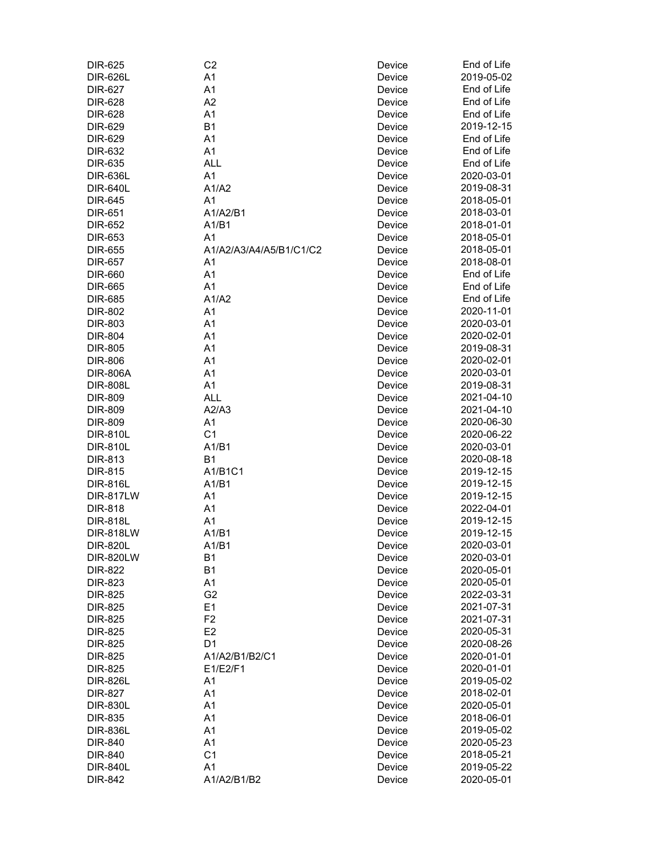| DIR-625          | C <sub>2</sub>          | Device | End of Life |
|------------------|-------------------------|--------|-------------|
| <b>DIR-626L</b>  | A1                      | Device | 2019-05-02  |
| <b>DIR-627</b>   | A1                      | Device | End of Life |
| DIR-628          | A2                      | Device | End of Life |
| DIR-628          | A <sub>1</sub>          | Device | End of Life |
| DIR-629          | B <sub>1</sub>          | Device | 2019-12-15  |
| <b>DIR-629</b>   | A <sub>1</sub>          | Device | End of Life |
| DIR-632          | A <sub>1</sub>          | Device | End of Life |
| DIR-635          | <b>ALL</b>              | Device | End of Life |
| <b>DIR-636L</b>  | A <sub>1</sub>          | Device | 2020-03-01  |
| <b>DIR-640L</b>  | A1/A2                   | Device | 2019-08-31  |
| <b>DIR-645</b>   | A <sub>1</sub>          | Device | 2018-05-01  |
| DIR-651          | A1/A2/B1                | Device | 2018-03-01  |
| DIR-652          | A1/B1                   | Device | 2018-01-01  |
| DIR-653          | A <sub>1</sub>          | Device | 2018-05-01  |
| <b>DIR-655</b>   | A1/A2/A3/A4/A5/B1/C1/C2 | Device | 2018-05-01  |
| <b>DIR-657</b>   | A <sub>1</sub>          | Device | 2018-08-01  |
| <b>DIR-660</b>   | A1                      | Device | End of Life |
| <b>DIR-665</b>   | A <sub>1</sub>          | Device | End of Life |
| <b>DIR-685</b>   | A1/A2                   | Device | End of Life |
|                  | A <sub>1</sub>          |        | 2020-11-01  |
| <b>DIR-802</b>   |                         | Device |             |
| <b>DIR-803</b>   | A1                      | Device | 2020-03-01  |
| <b>DIR-804</b>   | A1                      | Device | 2020-02-01  |
| <b>DIR-805</b>   | A <sub>1</sub>          | Device | 2019-08-31  |
| <b>DIR-806</b>   | A <sub>1</sub>          | Device | 2020-02-01  |
| <b>DIR-806A</b>  | A <sub>1</sub>          | Device | 2020-03-01  |
| <b>DIR-808L</b>  | A <sub>1</sub>          | Device | 2019-08-31  |
| <b>DIR-809</b>   | <b>ALL</b>              | Device | 2021-04-10  |
| <b>DIR-809</b>   | A2/A3                   | Device | 2021-04-10  |
| <b>DIR-809</b>   | A1                      | Device | 2020-06-30  |
| <b>DIR-810L</b>  | C <sub>1</sub>          | Device | 2020-06-22  |
| <b>DIR-810L</b>  | A1/B1                   | Device | 2020-03-01  |
| DIR-813          | B <sub>1</sub>          | Device | 2020-08-18  |
| <b>DIR-815</b>   | A1/B1C1                 | Device | 2019-12-15  |
| <b>DIR-816L</b>  | A1/B1                   | Device | 2019-12-15  |
| <b>DIR-817LW</b> | A <sub>1</sub>          | Device | 2019-12-15  |
| <b>DIR-818</b>   | A <sub>1</sub>          | Device | 2022-04-01  |
| <b>DIR-818L</b>  | A <sub>1</sub>          | Device | 2019-12-15  |
| <b>DIR-818LW</b> | A1/B1                   | Device | 2019-12-15  |
| <b>DIR-820L</b>  | A1/B1                   | Device | 2020-03-01  |
| <b>DIR-820LW</b> | <b>B1</b>               | Device | 2020-03-01  |
| <b>DIR-822</b>   | <b>B1</b>               | Device | 2020-05-01  |
| DIR-823          | A1                      | Device | 2020-05-01  |
| <b>DIR-825</b>   | G <sub>2</sub>          | Device | 2022-03-31  |
| <b>DIR-825</b>   | E1                      | Device | 2021-07-31  |
| <b>DIR-825</b>   | F <sub>2</sub>          | Device | 2021-07-31  |
| <b>DIR-825</b>   | E <sub>2</sub>          | Device | 2020-05-31  |
| <b>DIR-825</b>   | D <sub>1</sub>          | Device | 2020-08-26  |
| <b>DIR-825</b>   | A1/A2/B1/B2/C1          | Device | 2020-01-01  |
| <b>DIR-825</b>   | E1/E2/F1                | Device | 2020-01-01  |
| <b>DIR-826L</b>  | A1                      | Device | 2019-05-02  |
| <b>DIR-827</b>   | A1                      | Device | 2018-02-01  |
|                  | A1                      |        | 2020-05-01  |
| <b>DIR-830L</b>  |                         | Device |             |
| <b>DIR-835</b>   | A <sub>1</sub>          | Device | 2018-06-01  |
| <b>DIR-836L</b>  | A <sub>1</sub>          | Device | 2019-05-02  |
| DIR-840          | A <sub>1</sub>          | Device | 2020-05-23  |
| DIR-840          | C <sub>1</sub>          | Device | 2018-05-21  |
| <b>DIR-840L</b>  | A <sub>1</sub>          | Device | 2019-05-22  |
| <b>DIR-842</b>   | A1/A2/B1/B2             | Device | 2020-05-01  |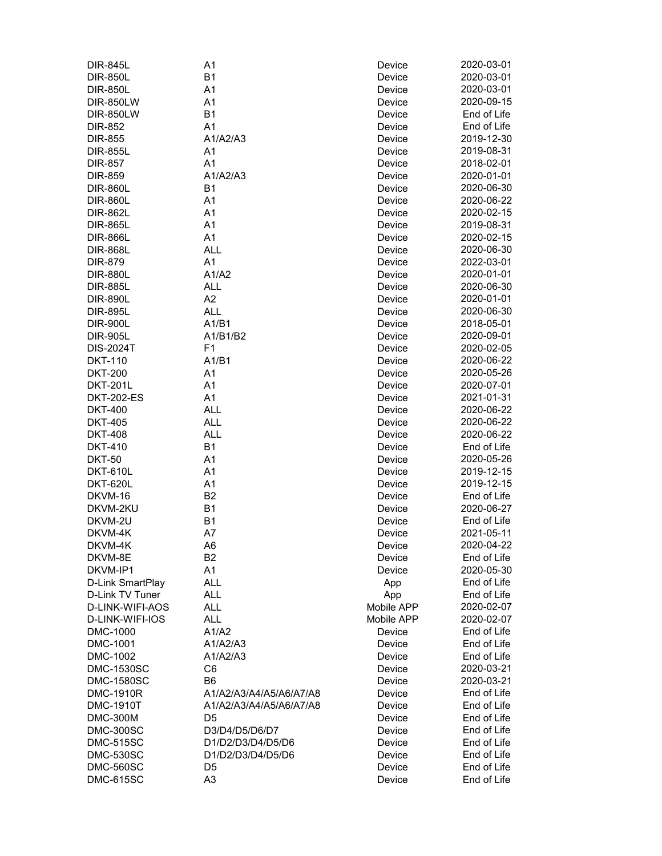| <b>DIR-845L</b>   | A1                      | Device     | 2020-03-01  |
|-------------------|-------------------------|------------|-------------|
| <b>DIR-850L</b>   | <b>B1</b>               | Device     | 2020-03-01  |
| <b>DIR-850L</b>   | A1                      | Device     | 2020-03-01  |
| <b>DIR-850LW</b>  | A <sub>1</sub>          | Device     | 2020-09-15  |
| <b>DIR-850LW</b>  | B <sub>1</sub>          | Device     | End of Life |
| <b>DIR-852</b>    | A <sub>1</sub>          | Device     | End of Life |
| <b>DIR-855</b>    | A1/A2/A3                | Device     | 2019-12-30  |
| <b>DIR-855L</b>   | A <sub>1</sub>          | Device     | 2019-08-31  |
| <b>DIR-857</b>    | A <sub>1</sub>          | Device     | 2018-02-01  |
| <b>DIR-859</b>    | A1/A2/A3                | Device     | 2020-01-01  |
| <b>DIR-860L</b>   | B <sub>1</sub>          | Device     | 2020-06-30  |
| <b>DIR-860L</b>   | A1                      | Device     | 2020-06-22  |
| <b>DIR-862L</b>   | A1                      | Device     | 2020-02-15  |
| <b>DIR-865L</b>   | A <sub>1</sub>          | Device     | 2019-08-31  |
| <b>DIR-866L</b>   | A <sub>1</sub>          | Device     | 2020-02-15  |
| <b>DIR-868L</b>   | <b>ALL</b>              | Device     | 2020-06-30  |
| <b>DIR-879</b>    | A1                      | Device     | 2022-03-01  |
|                   | A1/A2                   | Device     | 2020-01-01  |
| <b>DIR-880L</b>   | <b>ALL</b>              |            | 2020-06-30  |
| <b>DIR-885L</b>   |                         | Device     | 2020-01-01  |
| <b>DIR-890L</b>   | A2                      | Device     |             |
| <b>DIR-895L</b>   | <b>ALL</b>              | Device     | 2020-06-30  |
| <b>DIR-900L</b>   | A1/B1                   | Device     | 2018-05-01  |
| <b>DIR-905L</b>   | A1/B1/B2                | Device     | 2020-09-01  |
| <b>DIS-2024T</b>  | F <sub>1</sub>          | Device     | 2020-02-05  |
| <b>DKT-110</b>    | A1/B1                   | Device     | 2020-06-22  |
| <b>DKT-200</b>    | A <sub>1</sub>          | Device     | 2020-05-26  |
| <b>DKT-201L</b>   | A <sub>1</sub>          | Device     | 2020-07-01  |
| <b>DKT-202-ES</b> | A <sub>1</sub>          | Device     | 2021-01-31  |
| <b>DKT-400</b>    | <b>ALL</b>              | Device     | 2020-06-22  |
| <b>DKT-405</b>    | <b>ALL</b>              | Device     | 2020-06-22  |
| <b>DKT-408</b>    | <b>ALL</b>              | Device     | 2020-06-22  |
| <b>DKT-410</b>    | B <sub>1</sub>          | Device     | End of Life |
| <b>DKT-50</b>     | A1                      | Device     | 2020-05-26  |
| <b>DKT-610L</b>   | A <sub>1</sub>          | Device     | 2019-12-15  |
| <b>DKT-620L</b>   | A <sub>1</sub>          | Device     | 2019-12-15  |
| DKVM-16           | B <sub>2</sub>          | Device     | End of Life |
| DKVM-2KU          | <b>B1</b>               | Device     | 2020-06-27  |
| DKVM-2U           | B <sub>1</sub>          | Device     | End of Life |
| DKVM-4K           | A7                      | Device     | 2021-05-11  |
| DKVM-4K           | A <sub>6</sub>          | Device     | 2020-04-22  |
| DKVM-8E           | B <sub>2</sub>          | Device     | End of Life |
| DKVM-IP1          | A1                      | Device     | 2020-05-30  |
| D-Link SmartPlay  | ALL                     | App        | End of Life |
| D-Link TV Tuner   | ALL                     | App        | End of Life |
| D-LINK-WIFI-AOS   | ALL                     | Mobile APP | 2020-02-07  |
| D-LINK-WIFI-IOS   | ALL                     | Mobile APP | 2020-02-07  |
| DMC-1000          | A1/A2                   | Device     | End of Life |
| DMC-1001          | A1/A2/A3                | Device     | End of Life |
| DMC-1002          | A1/A2/A3                | Device     | End of Life |
| <b>DMC-1530SC</b> | C <sub>6</sub>          | Device     | 2020-03-21  |
| <b>DMC-1580SC</b> | B <sub>6</sub>          | Device     | 2020-03-21  |
| <b>DMC-1910R</b>  | A1/A2/A3/A4/A5/A6/A7/A8 | Device     | End of Life |
| <b>DMC-1910T</b>  | A1/A2/A3/A4/A5/A6/A7/A8 | Device     | End of Life |
| <b>DMC-300M</b>   | D <sub>5</sub>          | Device     | End of Life |
| <b>DMC-300SC</b>  | D3/D4/D5/D6/D7          | Device     | End of Life |
| <b>DMC-515SC</b>  | D1/D2/D3/D4/D5/D6       | Device     | End of Life |
| <b>DMC-530SC</b>  | D1/D2/D3/D4/D5/D6       | Device     | End of Life |
| <b>DMC-560SC</b>  | D5                      | Device     | End of Life |
| <b>DMC-615SC</b>  | A <sub>3</sub>          | Device     | End of Life |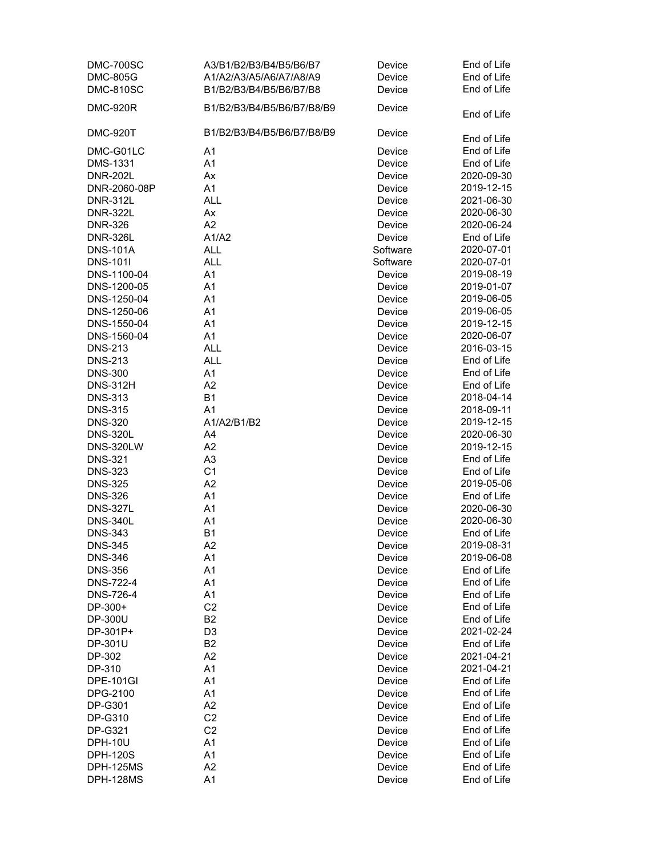| DMC-700SC        | A3/B1/B2/B3/B4/B5/B6/B7    | Device           | End of Life |
|------------------|----------------------------|------------------|-------------|
| <b>DMC-805G</b>  | A1/A2/A3/A5/A6/A7/A8/A9    | Device           | End of Life |
| <b>DMC-810SC</b> | B1/B2/B3/B4/B5/B6/B7/B8    | Device           | End of Life |
| <b>DMC-920R</b>  | B1/B2/B3/B4/B5/B6/B7/B8/B9 | Device           |             |
|                  |                            |                  | End of Life |
| <b>DMC-920T</b>  | B1/B2/B3/B4/B5/B6/B7/B8/B9 | Device           |             |
|                  |                            |                  | End of Life |
| DMC-G01LC        | A1                         | Device           | End of Life |
| <b>DMS-1331</b>  | A1                         | Device           | End of Life |
| <b>DNR-202L</b>  | Ax                         | Device           | 2020-09-30  |
| DNR-2060-08P     | A1                         | Device           | 2019-12-15  |
| <b>DNR-312L</b>  | <b>ALL</b>                 | Device           | 2021-06-30  |
| <b>DNR-322L</b>  | Ax                         | Device           | 2020-06-30  |
| <b>DNR-326</b>   | A2                         | Device           | 2020-06-24  |
| <b>DNR-326L</b>  | A1/A2                      | Device           | End of Life |
| <b>DNS-101A</b>  | <b>ALL</b>                 | Software         | 2020-07-01  |
| <b>DNS-101I</b>  | <b>ALL</b>                 | Software         | 2020-07-01  |
| DNS-1100-04      | A1                         | Device           | 2019-08-19  |
| DNS-1200-05      | A1                         | Device           | 2019-01-07  |
| DNS-1250-04      | A1                         | Device           | 2019-06-05  |
| DNS-1250-06      | A1                         | Device           | 2019-06-05  |
| DNS-1550-04      | A <sub>1</sub>             | Device           | 2019-12-15  |
| DNS-1560-04      | A1                         | Device           | 2020-06-07  |
| <b>DNS-213</b>   | <b>ALL</b>                 | Device           | 2016-03-15  |
| <b>DNS-213</b>   | <b>ALL</b>                 | Device           | End of Life |
| <b>DNS-300</b>   | A <sub>1</sub>             | Device           | End of Life |
| <b>DNS-312H</b>  | A2                         | Device           | End of Life |
| <b>DNS-313</b>   | <b>B1</b>                  | Device           | 2018-04-14  |
| <b>DNS-315</b>   | A1                         | Device           | 2018-09-11  |
| <b>DNS-320</b>   | A1/A2/B1/B2                | Device           | 2019-12-15  |
| <b>DNS-320L</b>  | A4                         | Device           | 2020-06-30  |
| <b>DNS-320LW</b> | A2                         | Device           | 2019-12-15  |
| <b>DNS-321</b>   | A <sub>3</sub>             | Device           | End of Life |
| <b>DNS-323</b>   | C <sub>1</sub>             | Device           | End of Life |
| <b>DNS-325</b>   | A2                         | Device           | 2019-05-06  |
| <b>DNS-326</b>   | A1                         | Device           | End of Life |
| <b>DNS-327L</b>  | A1                         | Device           | 2020-06-30  |
| <b>DNS-340L</b>  | A1                         | Device           | 2020-06-30  |
| <b>DNS-343</b>   | <b>B1</b>                  | Device           | End of Life |
| <b>DNS-345</b>   | A <sub>2</sub>             | Device           | 2019-08-31  |
| <b>DNS-346</b>   | A1                         | Device           | 2019-06-08  |
| <b>DNS-356</b>   | A1                         | Device           | End of Life |
| <b>DNS-722-4</b> | A1                         | Device           | End of Life |
| <b>DNS-726-4</b> | A1                         | Device           | End of Life |
| DP-300+          | C <sub>2</sub>             | Device           | End of Life |
| DP-300U          | B <sub>2</sub>             | Device           | End of Life |
| DP-301P+         | D <sub>3</sub>             | Device           | 2021-02-24  |
| DP-301U          | B <sub>2</sub>             | Device           | End of Life |
| DP-302           | A2                         | Device           | 2021-04-21  |
| DP-310           | A1                         | Device           | 2021-04-21  |
| <b>DPE-101GI</b> | A1                         | Device           | End of Life |
| DPG-2100         | A1                         | Device           | End of Life |
| DP-G301          | A2                         | Device           | End of Life |
| DP-G310          | C <sub>2</sub>             | Device           | End of Life |
| DP-G321          | C <sub>2</sub>             | Device           | End of Life |
| <b>DPH-10U</b>   | A1                         |                  | End of Life |
| <b>DPH-120S</b>  | A <sub>1</sub>             | Device<br>Device | End of Life |
| DPH-125MS        | A2                         |                  | End of Life |
|                  |                            | Device           |             |
| DPH-128MS        | A1                         | Device           | End of Life |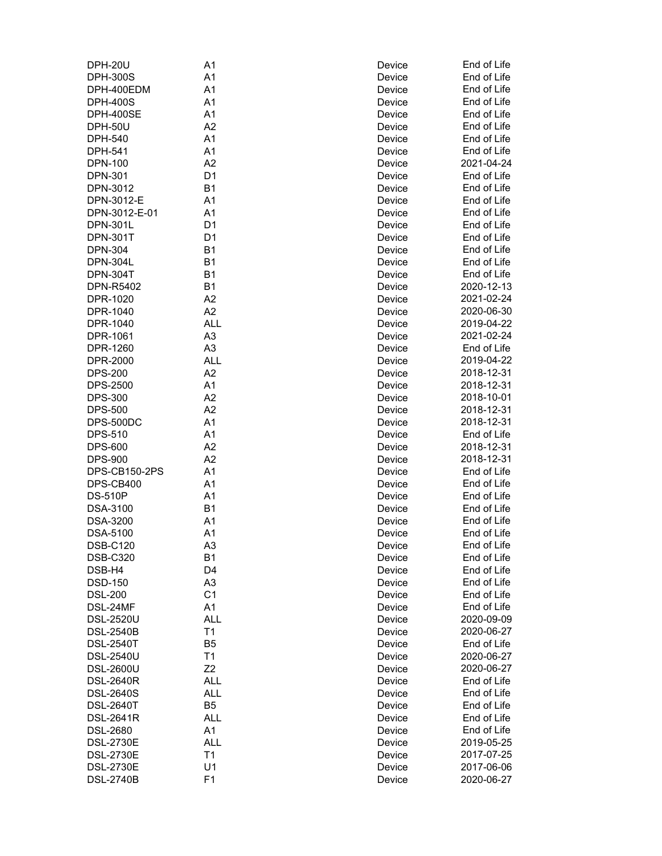| <b>DPH-20U</b>   | A1             | Device | End of Life |
|------------------|----------------|--------|-------------|
| <b>DPH-300S</b>  | A1             | Device | End of Life |
| DPH-400EDM       | A1             | Device | End of Life |
| <b>DPH-400S</b>  | A1             | Device | End of Life |
| <b>DPH-400SE</b> | A <sub>1</sub> | Device | End of Life |
| <b>DPH-50U</b>   | A <sub>2</sub> | Device | End of Life |
| DPH-540          | A1             | Device | End of Life |
| DPH-541          | A <sub>1</sub> | Device | End of Life |
| <b>DPN-100</b>   | A2             | Device | 2021-04-24  |
| <b>DPN-301</b>   | D <sub>1</sub> | Device | End of Life |
| DPN-3012         | <b>B1</b>      | Device | End of Life |
| DPN-3012-E       | A1             | Device | End of Life |
| DPN-3012-E-01    | A1             | Device | End of Life |
| <b>DPN-301L</b>  | D <sub>1</sub> | Device | End of Life |
| <b>DPN-301T</b>  | D <sub>1</sub> | Device | End of Life |
| <b>DPN-304</b>   | <b>B1</b>      | Device | End of Life |
| <b>DPN-304L</b>  | B <sub>1</sub> | Device | End of Life |
| <b>DPN-304T</b>  | B <sub>1</sub> | Device | End of Life |
| DPN-R5402        | <b>B1</b>      | Device | 2020-12-13  |
| DPR-1020         | A2             | Device | 2021-02-24  |
|                  | A2             |        | 2020-06-30  |
| DPR-1040         |                | Device | 2019-04-22  |
| DPR-1040         | <b>ALL</b>     | Device |             |
| DPR-1061         | A <sub>3</sub> | Device | 2021-02-24  |
| DPR-1260         | A <sub>3</sub> | Device | End of Life |
| DPR-2000         | <b>ALL</b>     | Device | 2019-04-22  |
| <b>DPS-200</b>   | A2             | Device | 2018-12-31  |
| <b>DPS-2500</b>  | A1             | Device | 2018-12-31  |
| <b>DPS-300</b>   | A2             | Device | 2018-10-01  |
| <b>DPS-500</b>   | A <sub>2</sub> | Device | 2018-12-31  |
| DPS-500DC        | A1             | Device | 2018-12-31  |
| <b>DPS-510</b>   | A1             | Device | End of Life |
| <b>DPS-600</b>   | A2             | Device | 2018-12-31  |
| <b>DPS-900</b>   | A2             | Device | 2018-12-31  |
| DPS-CB150-2PS    | A1             | Device | End of Life |
| DPS-CB400        | A <sub>1</sub> | Device | End of Life |
| <b>DS-510P</b>   | A <sub>1</sub> | Device | End of Life |
| DSA-3100         | B <sub>1</sub> | Device | End of Life |
| <b>DSA-3200</b>  | A <sub>1</sub> | Device | End of Life |
| <b>DSA-5100</b>  | A <sub>1</sub> | Device | End of Life |
| <b>DSB-C120</b>  | A <sub>3</sub> | Device | End of Life |
| <b>DSB-C320</b>  | <b>B1</b>      | Device | End of Life |
| DSB-H4           | D <sub>4</sub> | Device | End of Life |
| <b>DSD-150</b>   | A <sub>3</sub> | Device | End of Life |
| <b>DSL-200</b>   | C <sub>1</sub> | Device | End of Life |
| DSL-24MF         | A1             | Device | End of Life |
| <b>DSL-2520U</b> | <b>ALL</b>     | Device | 2020-09-09  |
| <b>DSL-2540B</b> | Τ1             | Device | 2020-06-27  |
| <b>DSL-2540T</b> | B <sub>5</sub> | Device | End of Life |
| <b>DSL-2540U</b> | T1             | Device | 2020-06-27  |
| <b>DSL-2600U</b> | Z2             | Device | 2020-06-27  |
| <b>DSL-2640R</b> | <b>ALL</b>     | Device | End of Life |
| <b>DSL-2640S</b> | <b>ALL</b>     | Device | End of Life |
| <b>DSL-2640T</b> | B <sub>5</sub> | Device | End of Life |
| <b>DSL-2641R</b> | <b>ALL</b>     | Device | End of Life |
| <b>DSL-2680</b>  | A <sub>1</sub> | Device | End of Life |
| <b>DSL-2730E</b> | <b>ALL</b>     | Device | 2019-05-25  |
| <b>DSL-2730E</b> | Τ1             | Device | 2017-07-25  |
| <b>DSL-2730E</b> | U1             | Device | 2017-06-06  |
| <b>DSL-2740B</b> | F <sub>1</sub> | Device | 2020-06-27  |
|                  |                |        |             |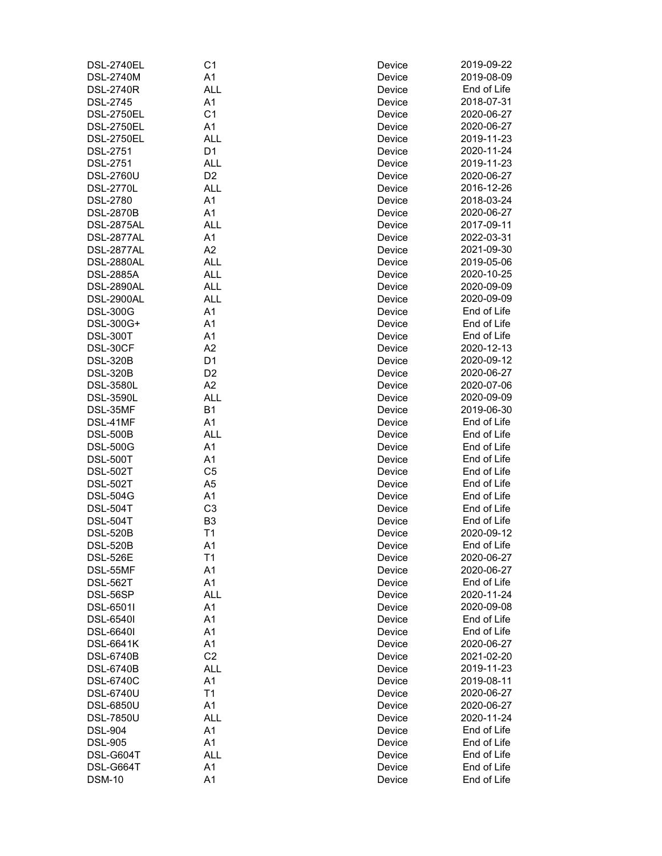| <b>DSL-2740EL</b> | C <sub>1</sub> | Device | 2019-09-22  |
|-------------------|----------------|--------|-------------|
| <b>DSL-2740M</b>  | A1             | Device | 2019-08-09  |
| <b>DSL-2740R</b>  | <b>ALL</b>     | Device | End of Life |
| <b>DSL-2745</b>   | A <sub>1</sub> | Device | 2018-07-31  |
| <b>DSL-2750EL</b> | C <sub>1</sub> | Device | 2020-06-27  |
| <b>DSL-2750EL</b> | A <sub>1</sub> | Device | 2020-06-27  |
| <b>DSL-2750EL</b> | <b>ALL</b>     | Device | 2019-11-23  |
| <b>DSL-2751</b>   | D <sub>1</sub> | Device | 2020-11-24  |
| <b>DSL-2751</b>   | <b>ALL</b>     | Device | 2019-11-23  |
| <b>DSL-2760U</b>  | D <sub>2</sub> | Device | 2020-06-27  |
| <b>DSL-2770L</b>  | <b>ALL</b>     | Device | 2016-12-26  |
| <b>DSL-2780</b>   | A1             | Device | 2018-03-24  |
| <b>DSL-2870B</b>  | A1             | Device | 2020-06-27  |
| <b>DSL-2875AL</b> | <b>ALL</b>     | Device | 2017-09-11  |
| DSL-2877AL        | A <sub>1</sub> | Device | 2022-03-31  |
| DSL-2877AL        | A2             | Device | 2021-09-30  |
| <b>DSL-2880AL</b> | <b>ALL</b>     | Device | 2019-05-06  |
| <b>DSL-2885A</b>  | <b>ALL</b>     | Device | 2020-10-25  |
| <b>DSL-2890AL</b> | <b>ALL</b>     | Device | 2020-09-09  |
|                   | <b>ALL</b>     |        |             |
| <b>DSL-2900AL</b> |                | Device | 2020-09-09  |
| <b>DSL-300G</b>   | A1             | Device | End of Life |
| DSL-300G+         | A1             | Device | End of Life |
| <b>DSL-300T</b>   | A1             | Device | End of Life |
| DSL-30CF          | A2             | Device | 2020-12-13  |
| <b>DSL-320B</b>   | D <sub>1</sub> | Device | 2020-09-12  |
| <b>DSL-320B</b>   | D <sub>2</sub> | Device | 2020-06-27  |
| <b>DSL-3580L</b>  | A2             | Device | 2020-07-06  |
| <b>DSL-3590L</b>  | <b>ALL</b>     | Device | 2020-09-09  |
| DSL-35MF          | B <sub>1</sub> | Device | 2019-06-30  |
| DSL-41MF          | A <sub>1</sub> | Device | End of Life |
| <b>DSL-500B</b>   | <b>ALL</b>     | Device | End of Life |
| <b>DSL-500G</b>   | A <sub>1</sub> | Device | End of Life |
| <b>DSL-500T</b>   | A1             | Device | End of Life |
| <b>DSL-502T</b>   | C <sub>5</sub> | Device | End of Life |
| <b>DSL-502T</b>   | A <sub>5</sub> | Device | End of Life |
| <b>DSL-504G</b>   | A <sub>1</sub> | Device | End of Life |
| <b>DSL-504T</b>   | C <sub>3</sub> | Device | End of Life |
| <b>DSL-504T</b>   | B <sub>3</sub> | Device | End of Life |
| <b>DSL-520B</b>   | T1             | Device | 2020-09-12  |
| <b>DSL-520B</b>   | A <sub>1</sub> | Device | End of Life |
| <b>DSL-526E</b>   | T1             | Device | 2020-06-27  |
| DSL-55MF          | A1             | Device | 2020-06-27  |
| <b>DSL-562T</b>   | A1             | Device | End of Life |
|                   | <b>ALL</b>     | Device | 2020-11-24  |
| DSL-56SP          |                |        |             |
| DSL-6501I         | A <sub>1</sub> | Device | 2020-09-08  |
| <b>DSL-6540I</b>  | A <sub>1</sub> | Device | End of Life |
| <b>DSL-6640I</b>  | A <sub>1</sub> | Device | End of Life |
| <b>DSL-6641K</b>  | A1             | Device | 2020-06-27  |
| <b>DSL-6740B</b>  | C <sub>2</sub> | Device | 2021-02-20  |
| <b>DSL-6740B</b>  | <b>ALL</b>     | Device | 2019-11-23  |
| <b>DSL-6740C</b>  | A1             | Device | 2019-08-11  |
| <b>DSL-6740U</b>  | T1             | Device | 2020-06-27  |
| <b>DSL-6850U</b>  | A1             | Device | 2020-06-27  |
| <b>DSL-7850U</b>  | <b>ALL</b>     | Device | 2020-11-24  |
| <b>DSL-904</b>    | A <sub>1</sub> | Device | End of Life |
| <b>DSL-905</b>    | A <sub>1</sub> | Device | End of Life |
| DSL-G604T         | <b>ALL</b>     | Device | End of Life |
| DSL-G664T         | A <sub>1</sub> | Device | End of Life |
| <b>DSM-10</b>     | A <sub>1</sub> | Device | End of Life |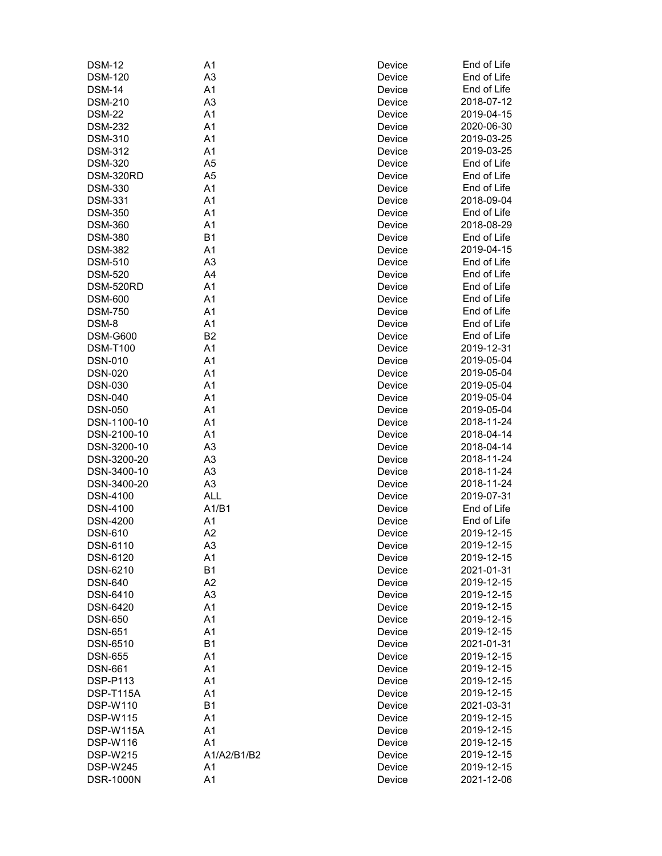| <b>DSM-12</b>    | A1             | Device | End of Life |
|------------------|----------------|--------|-------------|
| <b>DSM-120</b>   | A <sub>3</sub> | Device | End of Life |
| <b>DSM-14</b>    | A1             | Device | End of Life |
| <b>DSM-210</b>   | A <sub>3</sub> | Device | 2018-07-12  |
| <b>DSM-22</b>    | A1             | Device | 2019-04-15  |
| <b>DSM-232</b>   | A <sub>1</sub> | Device | 2020-06-30  |
| <b>DSM-310</b>   | A1             | Device | 2019-03-25  |
| <b>DSM-312</b>   | A <sub>1</sub> | Device | 2019-03-25  |
| <b>DSM-320</b>   | A <sub>5</sub> | Device | End of Life |
| DSM-320RD        | A <sub>5</sub> | Device | End of Life |
| <b>DSM-330</b>   | A1             | Device | End of Life |
| <b>DSM-331</b>   | A1             | Device | 2018-09-04  |
| <b>DSM-350</b>   | A1             | Device | End of Life |
| <b>DSM-360</b>   | A1             | Device | 2018-08-29  |
| <b>DSM-380</b>   | B <sub>1</sub> | Device | End of Life |
| <b>DSM-382</b>   | A <sub>1</sub> | Device | 2019-04-15  |
| <b>DSM-510</b>   | A <sub>3</sub> | Device | End of Life |
| <b>DSM-520</b>   | A4             | Device | End of Life |
| DSM-520RD        | A1             | Device | End of Life |
| <b>DSM-600</b>   | A1             | Device | End of Life |
|                  | A1             |        | End of Life |
| <b>DSM-750</b>   |                | Device | End of Life |
| DSM-8            | A1             | Device |             |
| <b>DSM-G600</b>  | B <sub>2</sub> | Device | End of Life |
| <b>DSM-T100</b>  | A1             | Device | 2019-12-31  |
| <b>DSN-010</b>   | A <sub>1</sub> | Device | 2019-05-04  |
| <b>DSN-020</b>   | A <sub>1</sub> | Device | 2019-05-04  |
| <b>DSN-030</b>   | A <sub>1</sub> | Device | 2019-05-04  |
| <b>DSN-040</b>   | A <sub>1</sub> | Device | 2019-05-04  |
| <b>DSN-050</b>   | A <sub>1</sub> | Device | 2019-05-04  |
| DSN-1100-10      | A <sub>1</sub> | Device | 2018-11-24  |
| DSN-2100-10      | A1             | Device | 2018-04-14  |
| DSN-3200-10      | A <sub>3</sub> | Device | 2018-04-14  |
| DSN-3200-20      | A <sub>3</sub> | Device | 2018-11-24  |
| DSN-3400-10      | A <sub>3</sub> | Device | 2018-11-24  |
| DSN-3400-20      | A <sub>3</sub> | Device | 2018-11-24  |
| <b>DSN-4100</b>  | <b>ALL</b>     | Device | 2019-07-31  |
| <b>DSN-4100</b>  | A1/B1          | Device | End of Life |
| <b>DSN-4200</b>  | A1             | Device | End of Life |
| <b>DSN-610</b>   | A <sub>2</sub> | Device | 2019-12-15  |
| DSN-6110         | A <sub>3</sub> | Device | 2019-12-15  |
| DSN-6120         | A1             | Device | 2019-12-15  |
| DSN-6210         | <b>B1</b>      | Device | 2021-01-31  |
| <b>DSN-640</b>   | A2             | Device | 2019-12-15  |
| DSN-6410         | A <sub>3</sub> | Device | 2019-12-15  |
| <b>DSN-6420</b>  | A1             | Device | 2019-12-15  |
| <b>DSN-650</b>   | A1             | Device | 2019-12-15  |
| <b>DSN-651</b>   | A1             | Device | 2019-12-15  |
| DSN-6510         | <b>B1</b>      | Device | 2021-01-31  |
| <b>DSN-655</b>   | A1             | Device | 2019-12-15  |
| <b>DSN-661</b>   | A1             | Device | 2019-12-15  |
| <b>DSP-P113</b>  | A1             | Device | 2019-12-15  |
| DSP-T115A        | A1             | Device | 2019-12-15  |
| <b>DSP-W110</b>  | <b>B1</b>      | Device | 2021-03-31  |
| <b>DSP-W115</b>  | A1             | Device | 2019-12-15  |
| DSP-W115A        | A1             | Device | 2019-12-15  |
| <b>DSP-W116</b>  | A <sub>1</sub> | Device | 2019-12-15  |
| <b>DSP-W215</b>  | A1/A2/B1/B2    | Device | 2019-12-15  |
| <b>DSP-W245</b>  | A <sub>1</sub> | Device | 2019-12-15  |
| <b>DSR-1000N</b> | A <sub>1</sub> | Device | 2021-12-06  |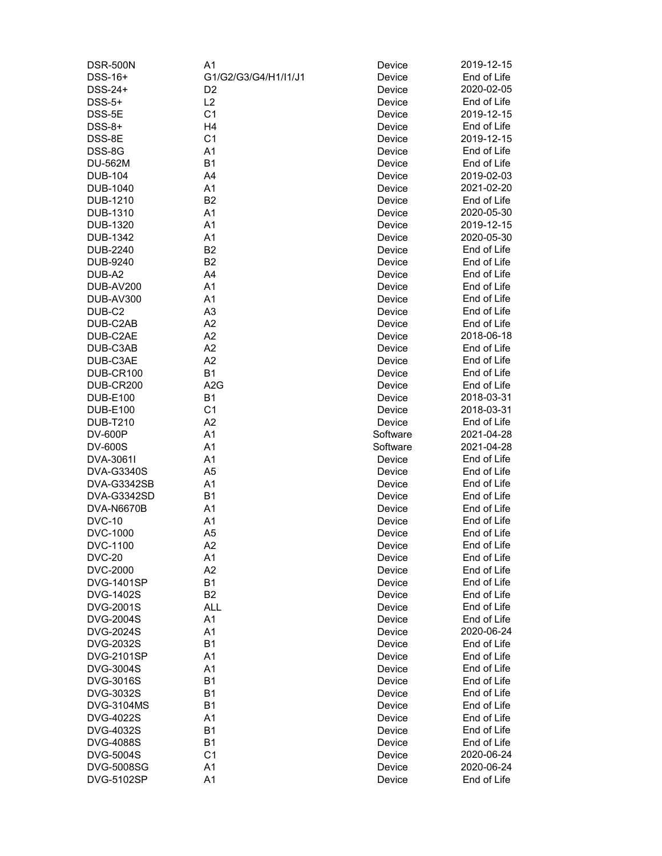| <b>DSR-500N</b>   | A1                   | Device   | 2019-12-15  |
|-------------------|----------------------|----------|-------------|
| DSS-16+           | G1/G2/G3/G4/H1/I1/J1 | Device   | End of Life |
| DSS-24+           | D <sub>2</sub>       | Device   | 2020-02-05  |
| $DSS-5+$          | L2                   | Device   | End of Life |
| DSS-5E            | C <sub>1</sub>       | Device   | 2019-12-15  |
| $DSS-8+$          | H4                   | Device   | End of Life |
| DSS-8E            | C <sub>1</sub>       | Device   | 2019-12-15  |
| DSS-8G            | A <sub>1</sub>       | Device   | End of Life |
| <b>DU-562M</b>    | B <sub>1</sub>       | Device   | End of Life |
|                   |                      |          | 2019-02-03  |
| <b>DUB-104</b>    | A4                   | Device   |             |
| <b>DUB-1040</b>   | A1                   | Device   | 2021-02-20  |
| DUB-1210          | B <sub>2</sub>       | Device   | End of Life |
| <b>DUB-1310</b>   | A <sub>1</sub>       | Device   | 2020-05-30  |
| <b>DUB-1320</b>   | A <sub>1</sub>       | Device   | 2019-12-15  |
| <b>DUB-1342</b>   | A <sub>1</sub>       | Device   | 2020-05-30  |
| DUB-2240          | B <sub>2</sub>       | Device   | End of Life |
| <b>DUB-9240</b>   | B <sub>2</sub>       | Device   | End of Life |
| DUB-A2            | A4                   | Device   | End of Life |
| DUB-AV200         | A <sub>1</sub>       | Device   | End of Life |
| <b>DUB-AV300</b>  | A1                   | Device   | End of Life |
| DUB-C2            | A <sub>3</sub>       | Device   | End of Life |
| DUB-C2AB          | A2                   | Device   | End of Life |
| DUB-C2AE          | A2                   | Device   | 2018-06-18  |
| DUB-C3AB          | A2                   | Device   | End of Life |
| DUB-C3AE          | A2                   | Device   | End of Life |
| DUB-CR100         | B <sub>1</sub>       | Device   | End of Life |
|                   |                      |          |             |
| DUB-CR200         | A <sub>2</sub> G     | Device   | End of Life |
| <b>DUB-E100</b>   | B1                   | Device   | 2018-03-31  |
| <b>DUB-E100</b>   | C <sub>1</sub>       | Device   | 2018-03-31  |
| <b>DUB-T210</b>   | A2                   | Device   | End of Life |
| <b>DV-600P</b>    | A1                   | Software | 2021-04-28  |
| <b>DV-600S</b>    | A <sub>1</sub>       | Software | 2021-04-28  |
| DVA-3061I         | A <sub>1</sub>       | Device   | End of Life |
| <b>DVA-G3340S</b> | A <sub>5</sub>       | Device   | End of Life |
| DVA-G3342SB       | A <sub>1</sub>       | Device   | End of Life |
| DVA-G3342SD       | B <sub>1</sub>       | Device   | End of Life |
| <b>DVA-N6670B</b> | A <sub>1</sub>       | Device   | End of Life |
| <b>DVC-10</b>     | A1                   | Device   | End of Life |
| DVC-1000          | A <sub>5</sub>       | Device   | End of Life |
| DVC-1100          | A2                   | Device   | End of Life |
| <b>DVC-20</b>     | A1                   | Device   | End of Life |
| <b>DVC-2000</b>   | A2                   | Device   | End of Life |
| <b>DVG-1401SP</b> | <b>B1</b>            | Device   | End of Life |
|                   | B <sub>2</sub>       | Device   | End of Life |
| <b>DVG-1402S</b>  |                      |          | End of Life |
| <b>DVG-2001S</b>  | <b>ALL</b>           | Device   |             |
| <b>DVG-2004S</b>  | A1                   | Device   | End of Life |
| <b>DVG-2024S</b>  | A <sub>1</sub>       | Device   | 2020-06-24  |
| <b>DVG-2032S</b>  | B <sub>1</sub>       | Device   | End of Life |
| <b>DVG-2101SP</b> | A1                   | Device   | End of Life |
| <b>DVG-3004S</b>  | A <sub>1</sub>       | Device   | End of Life |
| <b>DVG-3016S</b>  | B <sub>1</sub>       | Device   | End of Life |
| DVG-3032S         | B <sub>1</sub>       | Device   | End of Life |
| <b>DVG-3104MS</b> | B1                   | Device   | End of Life |
| <b>DVG-4022S</b>  | A1                   | Device   | End of Life |
| <b>DVG-4032S</b>  | B <sub>1</sub>       | Device   | End of Life |
| <b>DVG-4088S</b>  | B <sub>1</sub>       | Device   | End of Life |
| <b>DVG-5004S</b>  | C <sub>1</sub>       | Device   | 2020-06-24  |
| <b>DVG-5008SG</b> | A <sub>1</sub>       | Device   | 2020-06-24  |
| <b>DVG-5102SP</b> | A1                   | Device   | End of Life |
|                   |                      |          |             |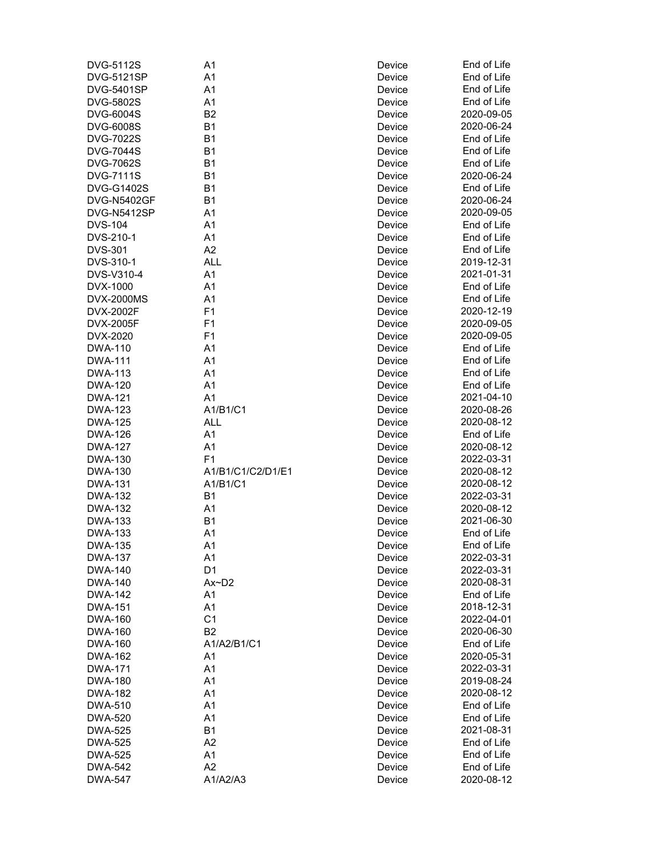| <b>DVG-5112S</b>  | A1                     | Device | End of Life |
|-------------------|------------------------|--------|-------------|
| <b>DVG-5121SP</b> | A1                     | Device | End of Life |
| <b>DVG-5401SP</b> | A <sub>1</sub>         | Device | End of Life |
| <b>DVG-5802S</b>  | A <sub>1</sub>         | Device | End of Life |
| <b>DVG-6004S</b>  | B <sub>2</sub>         | Device | 2020-09-05  |
| <b>DVG-6008S</b>  | B <sub>1</sub>         | Device | 2020-06-24  |
| <b>DVG-7022S</b>  | B <sub>1</sub>         | Device | End of Life |
| <b>DVG-7044S</b>  | B <sub>1</sub>         | Device | End of Life |
| <b>DVG-7062S</b>  | B <sub>1</sub>         | Device | End of Life |
| <b>DVG-7111S</b>  | <b>B1</b>              | Device | 2020-06-24  |
| <b>DVG-G1402S</b> | B <sub>1</sub>         | Device | End of Life |
|                   |                        |        | 2020-06-24  |
| DVG-N5402GF       | B <sub>1</sub>         | Device |             |
| DVG-N5412SP       | A <sub>1</sub>         | Device | 2020-09-05  |
| <b>DVS-104</b>    | A <sub>1</sub>         | Device | End of Life |
| DVS-210-1         | A <sub>1</sub>         | Device | End of Life |
| <b>DVS-301</b>    | A2                     | Device | End of Life |
| DVS-310-1         | <b>ALL</b>             | Device | 2019-12-31  |
| DVS-V310-4        | A <sub>1</sub>         | Device | 2021-01-31  |
| DVX-1000          | A1                     | Device | End of Life |
| <b>DVX-2000MS</b> | A1                     | Device | End of Life |
| DVX-2002F         | F <sub>1</sub>         | Device | 2020-12-19  |
| DVX-2005F         | F <sub>1</sub>         | Device | 2020-09-05  |
| DVX-2020          | F <sub>1</sub>         | Device | 2020-09-05  |
| <b>DWA-110</b>    | A <sub>1</sub>         | Device | End of Life |
| <b>DWA-111</b>    | A <sub>1</sub>         | Device | End of Life |
| <b>DWA-113</b>    | A <sub>1</sub>         | Device | End of Life |
| <b>DWA-120</b>    | A <sub>1</sub>         | Device | End of Life |
| <b>DWA-121</b>    | A <sub>1</sub>         | Device | 2021-04-10  |
| <b>DWA-123</b>    | A1/B1/C1               | Device | 2020-08-26  |
| <b>DWA-125</b>    | <b>ALL</b>             | Device | 2020-08-12  |
| <b>DWA-126</b>    | A1                     | Device | End of Life |
| <b>DWA-127</b>    | A1                     | Device | 2020-08-12  |
| <b>DWA-130</b>    | F <sub>1</sub>         | Device | 2022-03-31  |
| <b>DWA-130</b>    | A1/B1/C1/C2/D1/E1      | Device | 2020-08-12  |
| <b>DWA-131</b>    | A1/B1/C1               | Device | 2020-08-12  |
| <b>DWA-132</b>    | <b>B1</b>              |        | 2022-03-31  |
|                   |                        | Device | 2020-08-12  |
| <b>DWA-132</b>    | A <sub>1</sub>         | Device | 2021-06-30  |
| <b>DWA-133</b>    | B <sub>1</sub>         | Device |             |
| <b>DWA-133</b>    | A1                     | Device | End of Life |
| <b>DWA-135</b>    | A1                     | Device | End of Life |
| <b>DWA-137</b>    | A1                     | Device | 2022-03-31  |
| <b>DWA-140</b>    | D <sub>1</sub>         | Device | 2022-03-31  |
| <b>DWA-140</b>    | $Ax\nightharpoonup D2$ | Device | 2020-08-31  |
| <b>DWA-142</b>    | A1                     | Device | End of Life |
| <b>DWA-151</b>    | A1                     | Device | 2018-12-31  |
| <b>DWA-160</b>    | C <sub>1</sub>         | Device | 2022-04-01  |
| <b>DWA-160</b>    | B <sub>2</sub>         | Device | 2020-06-30  |
| <b>DWA-160</b>    | A1/A2/B1/C1            | Device | End of Life |
| <b>DWA-162</b>    | A <sub>1</sub>         | Device | 2020-05-31  |
| <b>DWA-171</b>    | A1                     | Device | 2022-03-31  |
| <b>DWA-180</b>    | A1                     | Device | 2019-08-24  |
| <b>DWA-182</b>    | A1                     | Device | 2020-08-12  |
| <b>DWA-510</b>    | A <sub>1</sub>         | Device | End of Life |
| <b>DWA-520</b>    | A <sub>1</sub>         | Device | End of Life |
| <b>DWA-525</b>    | <b>B1</b>              | Device | 2021-08-31  |
| <b>DWA-525</b>    | A2                     | Device | End of Life |
| <b>DWA-525</b>    | A1                     | Device | End of Life |
| <b>DWA-542</b>    | A <sub>2</sub>         | Device | End of Life |
| <b>DWA-547</b>    | A1/A2/A3               | Device | 2020-08-12  |
|                   |                        |        |             |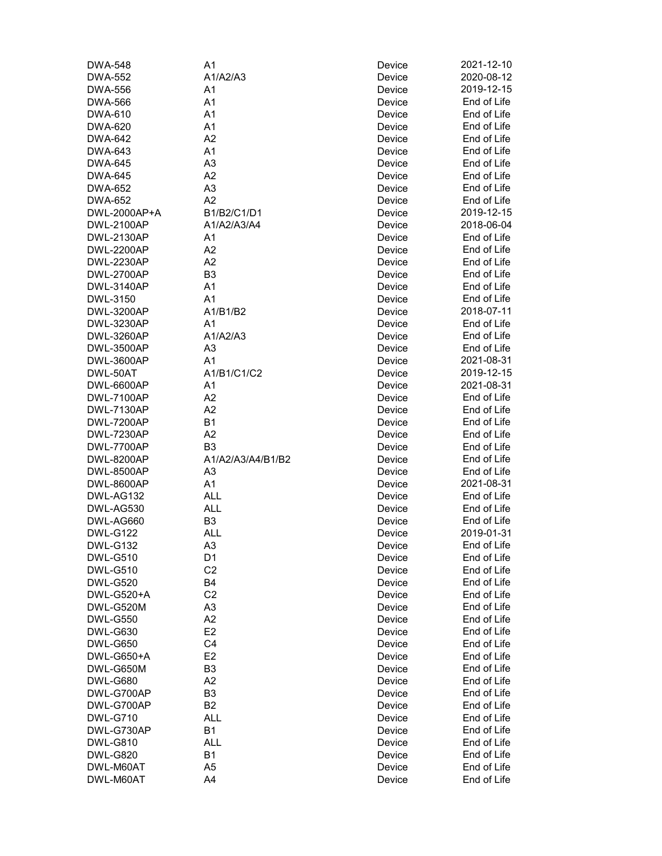| <b>DWA-548</b>                         | A1                | Device           | 2021-12-10  |
|----------------------------------------|-------------------|------------------|-------------|
| <b>DWA-552</b>                         | A1/A2/A3          | Device           | 2020-08-12  |
| <b>DWA-556</b>                         | A <sub>1</sub>    | Device           | 2019-12-15  |
| <b>DWA-566</b>                         | A <sub>1</sub>    | Device           | End of Life |
| DWA-610                                | A <sub>1</sub>    | Device           | End of Life |
| <b>DWA-620</b>                         | A <sub>1</sub>    | Device           | End of Life |
| <b>DWA-642</b>                         | A <sub>2</sub>    | Device           | End of Life |
| DWA-643                                | A <sub>1</sub>    | Device           | End of Life |
| <b>DWA-645</b>                         | A <sub>3</sub>    | Device           | End of Life |
| <b>DWA-645</b>                         | A2                | Device           | End of Life |
| <b>DWA-652</b>                         | A <sub>3</sub>    | Device           | End of Life |
| <b>DWA-652</b>                         | A <sub>2</sub>    | Device           | End of Life |
| DWL-2000AP+A                           | B1/B2/C1/D1       | Device           | 2019-12-15  |
| <b>DWL-2100AP</b>                      | A1/A2/A3/A4       | Device           | 2018-06-04  |
| <b>DWL-2130AP</b>                      | A <sub>1</sub>    | Device           | End of Life |
| <b>DWL-2200AP</b>                      | A2                | Device           | End of Life |
| <b>DWL-2230AP</b>                      | A2                | Device           | End of Life |
| <b>DWL-2700AP</b>                      | B <sub>3</sub>    | Device           | End of Life |
| <b>DWL-3140AP</b>                      | A1                | Device           | End of Life |
| DWL-3150                               | A <sub>1</sub>    | Device           | End of Life |
| <b>DWL-3200AP</b>                      | A1/B1/B2          | Device           | 2018-07-11  |
| <b>DWL-3230AP</b>                      | A1                | Device           | End of Life |
| <b>DWL-3260AP</b>                      | A1/A2/A3          | Device           | End of Life |
| <b>DWL-3500AP</b>                      | A <sub>3</sub>    | Device           | End of Life |
| <b>DWL-3600AP</b>                      | A <sub>1</sub>    | Device           | 2021-08-31  |
| DWL-50AT                               | A1/B1/C1/C2       | Device           | 2019-12-15  |
| DWL-6600AP                             | A <sub>1</sub>    | Device           | 2021-08-31  |
| <b>DWL-7100AP</b>                      | A <sub>2</sub>    | Device           | End of Life |
| <b>DWL-7130AP</b>                      | A2                | Device           | End of Life |
| <b>DWL-7200AP</b>                      | B <sub>1</sub>    | Device           | End of Life |
| <b>DWL-7230AP</b>                      | A2                | Device           | End of Life |
| DWL-7700AP                             | B <sub>3</sub>    | Device           | End of Life |
|                                        | A1/A2/A3/A4/B1/B2 |                  | End of Life |
| <b>DWL-8200AP</b><br><b>DWL-8500AP</b> | A3                | Device<br>Device | End of Life |
|                                        | A <sub>1</sub>    |                  | 2021-08-31  |
| <b>DWL-8600AP</b>                      |                   | Device           |             |
| DWL-AG132                              | <b>ALL</b>        | Device           | End of Life |
| DWL-AG530                              | <b>ALL</b>        | Device           | End of Life |
| DWL-AG660                              | B <sub>3</sub>    | Device           | End of Life |
| <b>DWL-G122</b>                        | <b>ALL</b>        | Device           | 2019-01-31  |
| <b>DWL-G132</b>                        | A <sub>3</sub>    | Device           | End of Life |
| <b>DWL-G510</b>                        | D1                | Device           | End of Life |
| <b>DWL-G510</b>                        | C <sub>2</sub>    | Device           | End of Life |
| <b>DWL-G520</b>                        | B4                | Device           | End of Life |
| DWL-G520+A                             | C <sub>2</sub>    | Device           | End of Life |
| DWL-G520M                              | A <sub>3</sub>    | Device           | End of Life |
| <b>DWL-G550</b>                        | A <sub>2</sub>    | Device           | End of Life |
| <b>DWL-G630</b>                        | E <sub>2</sub>    | Device           | End of Life |
| <b>DWL-G650</b>                        | C <sub>4</sub>    | Device           | End of Life |
| DWL-G650+A                             | E <sub>2</sub>    | Device           | End of Life |
| DWL-G650M                              | B <sub>3</sub>    | Device           | End of Life |
| <b>DWL-G680</b>                        | A2                | Device           | End of Life |
| DWL-G700AP                             | B <sub>3</sub>    | Device           | End of Life |
| DWL-G700AP                             | B <sub>2</sub>    | Device           | End of Life |
| <b>DWL-G710</b>                        | ALL               | Device           | End of Life |
| DWL-G730AP                             | B <sub>1</sub>    | Device           | End of Life |
| <b>DWL-G810</b>                        | <b>ALL</b>        | Device           | End of Life |
| <b>DWL-G820</b>                        | B <sub>1</sub>    | Device           | End of Life |
| DWL-M60AT                              | A5                | Device           | End of Life |
| DWL-M60AT                              | A4                | Device           | End of Life |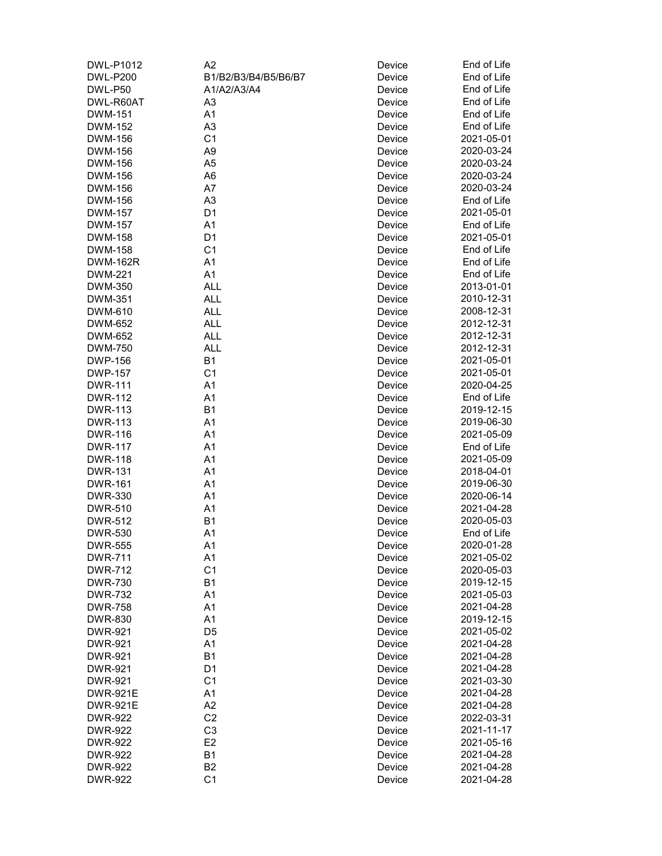| DWL-P1012                        | A2                   | Device           | End of Life |
|----------------------------------|----------------------|------------------|-------------|
| <b>DWL-P200</b>                  | B1/B2/B3/B4/B5/B6/B7 | Device           | End of Life |
| DWL-P50                          | A1/A2/A3/A4          | Device           | End of Life |
| DWL-R60AT                        | A3                   | Device           | End of Life |
| <b>DWM-151</b>                   | A1                   | Device           | End of Life |
| <b>DWM-152</b>                   | A3                   | Device           | End of Life |
| <b>DWM-156</b>                   | C <sub>1</sub>       | Device           | 2021-05-01  |
| <b>DWM-156</b>                   | A <sub>9</sub>       | Device           | 2020-03-24  |
| DWM-156                          | A <sub>5</sub>       | Device           | 2020-03-24  |
| DWM-156                          | A <sub>6</sub>       | Device           | 2020-03-24  |
| DWM-156                          | A7                   | Device           | 2020-03-24  |
| DWM-156                          | A <sub>3</sub>       | Device           | End of Life |
| <b>DWM-157</b>                   | D <sub>1</sub>       | Device           | 2021-05-01  |
| <b>DWM-157</b>                   | A1                   | Device           | End of Life |
| <b>DWM-158</b>                   | D <sub>1</sub>       | Device           | 2021-05-01  |
| <b>DWM-158</b>                   | C <sub>1</sub>       | Device           | End of Life |
| <b>DWM-162R</b>                  | A1                   | Device           | End of Life |
| <b>DWM-221</b>                   | A1                   | Device           | End of Life |
| DWM-350                          | <b>ALL</b>           | Device           | 2013-01-01  |
| DWM-351                          | <b>ALL</b>           | Device           | 2010-12-31  |
| DWM-610                          | <b>ALL</b>           | Device           | 2008-12-31  |
| DWM-652                          | <b>ALL</b>           |                  | 2012-12-31  |
| DWM-652                          | <b>ALL</b>           | Device<br>Device | 2012-12-31  |
| DWM-750                          | <b>ALL</b>           | Device           | 2012-12-31  |
| <b>DWP-156</b>                   | B <sub>1</sub>       | Device           | 2021-05-01  |
| <b>DWP-157</b>                   | C <sub>1</sub>       | Device           | 2021-05-01  |
| <b>DWR-111</b>                   | A1                   | Device           | 2020-04-25  |
| <b>DWR-112</b>                   | A1                   | Device           | End of Life |
| <b>DWR-113</b>                   | B <sub>1</sub>       |                  | 2019-12-15  |
| <b>DWR-113</b>                   | A <sub>1</sub>       | Device           | 2019-06-30  |
| <b>DWR-116</b>                   | A1                   | Device           | 2021-05-09  |
|                                  | A1                   | Device           | End of Life |
| <b>DWR-117</b><br><b>DWR-118</b> | A1                   | Device<br>Device | 2021-05-09  |
| <b>DWR-131</b>                   | A1                   | Device           | 2018-04-01  |
| <b>DWR-161</b>                   | A1                   | Device           | 2019-06-30  |
| <b>DWR-330</b>                   | A1                   | Device           | 2020-06-14  |
| <b>DWR-510</b>                   | A1                   | Device           | 2021-04-28  |
| <b>DWR-512</b>                   | Β1                   | Device           | 2020-05-03  |
| <b>DWR-530</b>                   | A <sub>1</sub>       | Device           | End of Life |
| <b>DWR-555</b>                   | A1                   | Device           | 2020-01-28  |
| <b>DWR-711</b>                   | A1                   | Device           | 2021-05-02  |
| <b>DWR-712</b>                   | C <sub>1</sub>       | Device           | 2020-05-03  |
| <b>DWR-730</b>                   | <b>B1</b>            | Device           | 2019-12-15  |
| <b>DWR-732</b>                   | A1                   | Device           | 2021-05-03  |
| <b>DWR-758</b>                   | A1                   | Device           | 2021-04-28  |
| <b>DWR-830</b>                   | A1                   | Device           | 2019-12-15  |
| <b>DWR-921</b>                   | D <sub>5</sub>       | Device           | 2021-05-02  |
| <b>DWR-921</b>                   | A1                   | Device           | 2021-04-28  |
| <b>DWR-921</b>                   | B1                   | Device           | 2021-04-28  |
| <b>DWR-921</b>                   | D <sub>1</sub>       | Device           | 2021-04-28  |
| <b>DWR-921</b>                   | C <sub>1</sub>       | Device           | 2021-03-30  |
| <b>DWR-921E</b>                  | A1                   | Device           | 2021-04-28  |
| <b>DWR-921E</b>                  | A2                   | Device           | 2021-04-28  |
| <b>DWR-922</b>                   | C <sub>2</sub>       | Device           | 2022-03-31  |
| <b>DWR-922</b>                   | C <sub>3</sub>       | Device           | 2021-11-17  |
| <b>DWR-922</b>                   | E <sub>2</sub>       | Device           | 2021-05-16  |
| <b>DWR-922</b>                   | <b>B1</b>            | Device           | 2021-04-28  |
| <b>DWR-922</b>                   | B <sub>2</sub>       | Device           | 2021-04-28  |
| <b>DWR-922</b>                   | C <sub>1</sub>       | Device           | 2021-04-28  |
|                                  |                      |                  |             |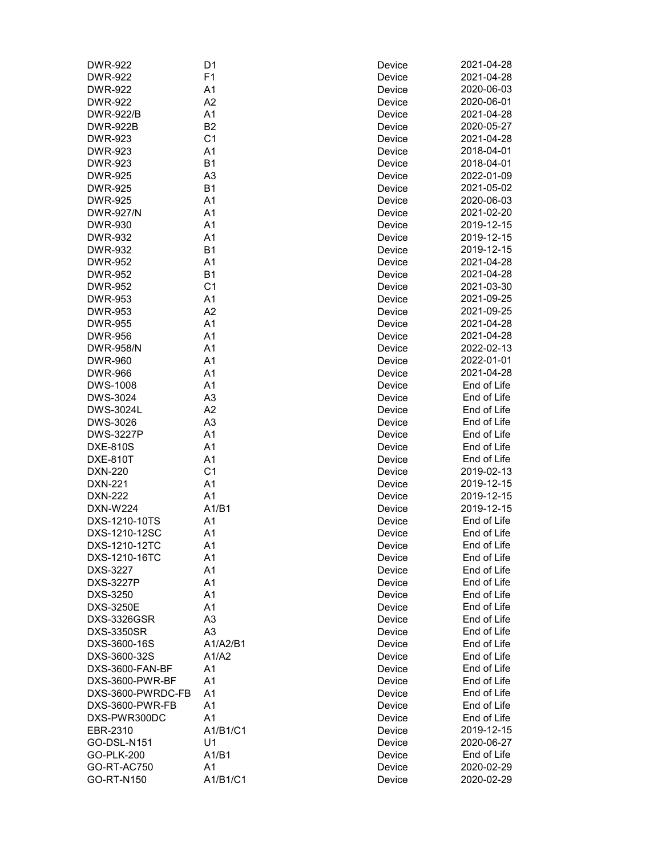| <b>DWR-922</b>                   | D1             | Device | 2021-04-28  |
|----------------------------------|----------------|--------|-------------|
| <b>DWR-922</b>                   | F <sub>1</sub> | Device | 2021-04-28  |
| <b>DWR-922</b>                   | A1             | Device | 2020-06-03  |
| <b>DWR-922</b>                   | A2             | Device | 2020-06-01  |
| <b>DWR-922/B</b>                 | A1             | Device | 2021-04-28  |
| <b>DWR-922B</b>                  | <b>B2</b>      | Device | 2020-05-27  |
| <b>DWR-923</b>                   | C <sub>1</sub> | Device | 2021-04-28  |
| <b>DWR-923</b>                   | A1             | Device | 2018-04-01  |
| <b>DWR-923</b>                   | <b>B1</b>      | Device | 2018-04-01  |
| <b>DWR-925</b>                   | A <sub>3</sub> | Device | 2022-01-09  |
| <b>DWR-925</b>                   | <b>B1</b>      | Device | 2021-05-02  |
| <b>DWR-925</b>                   | A1             | Device | 2020-06-03  |
| <b>DWR-927/N</b>                 | A1             | Device | 2021-02-20  |
| <b>DWR-930</b>                   | A <sub>1</sub> | Device | 2019-12-15  |
| <b>DWR-932</b>                   | A <sub>1</sub> | Device | 2019-12-15  |
| <b>DWR-932</b>                   | <b>B1</b>      | Device | 2019-12-15  |
| <b>DWR-952</b>                   | A <sub>1</sub> | Device | 2021-04-28  |
| <b>DWR-952</b>                   | <b>B1</b>      | Device | 2021-04-28  |
| <b>DWR-952</b>                   | C <sub>1</sub> | Device | 2021-03-30  |
| <b>DWR-953</b>                   | A1             | Device | 2021-09-25  |
| <b>DWR-953</b>                   | A2             | Device | 2021-09-25  |
| <b>DWR-955</b>                   | A1             | Device | 2021-04-28  |
| <b>DWR-956</b>                   | A1             | Device | 2021-04-28  |
| <b>DWR-958/N</b>                 | A <sub>1</sub> | Device | 2022-02-13  |
|                                  | A <sub>1</sub> |        | 2022-01-01  |
| <b>DWR-960</b><br><b>DWR-966</b> |                | Device |             |
|                                  | A <sub>1</sub> | Device | 2021-04-28  |
| <b>DWS-1008</b>                  | A <sub>1</sub> | Device | End of Life |
| DWS-3024                         | A <sub>3</sub> | Device | End of Life |
| <b>DWS-3024L</b>                 | A2             | Device | End of Life |
| DWS-3026                         | A <sub>3</sub> | Device | End of Life |
| <b>DWS-3227P</b>                 | A1             | Device | End of Life |
| <b>DXE-810S</b>                  | A1             | Device | End of Life |
| <b>DXE-810T</b>                  | A1             | Device | End of Life |
| DXN-220                          | C <sub>1</sub> | Device | 2019-02-13  |
| <b>DXN-221</b>                   | A <sub>1</sub> | Device | 2019-12-15  |
| <b>DXN-222</b>                   | A <sub>1</sub> | Device | 2019-12-15  |
| <b>DXN-W224</b>                  | A1/B1          | Device | 2019-12-15  |
| DXS-1210-10TS                    | A <sub>1</sub> | Device | End of Life |
| DXS-1210-12SC                    | A <sub>1</sub> | Device | End of Life |
| DXS-1210-12TC                    | A1             | Device | End of Life |
| DXS-1210-16TC                    | A1             | Device | End of Life |
| DXS-3227                         | A1             | Device | End of Life |
| <b>DXS-3227P</b>                 | A1             | Device | End of Life |
| DXS-3250                         | A <sub>1</sub> | Device | End of Life |
| <b>DXS-3250E</b>                 | A <sub>1</sub> | Device | End of Life |
| <b>DXS-3326GSR</b>               | A <sub>3</sub> | Device | End of Life |
| <b>DXS-3350SR</b>                | A <sub>3</sub> | Device | End of Life |
| DXS-3600-16S                     | A1/A2/B1       | Device | End of Life |
| DXS-3600-32S                     | A1/A2          | Device | End of Life |
| DXS-3600-FAN-BF                  | A1             | Device | End of Life |
| DXS-3600-PWR-BF                  | A1             | Device | End of Life |
| DXS-3600-PWRDC-FB                | A <sub>1</sub> | Device | End of Life |
| DXS-3600-PWR-FB                  | A1             | Device | End of Life |
| DXS-PWR300DC                     | A <sub>1</sub> | Device | End of Life |
| EBR-2310                         | A1/B1/C1       | Device | 2019-12-15  |
| GO-DSL-N151                      | U1             | Device | 2020-06-27  |
| GO-PLK-200                       | A1/B1          | Device | End of Life |
| GO-RT-AC750                      | A1             | Device | 2020-02-29  |
| GO-RT-N150                       | A1/B1/C1       | Device | 2020-02-29  |
|                                  |                |        |             |